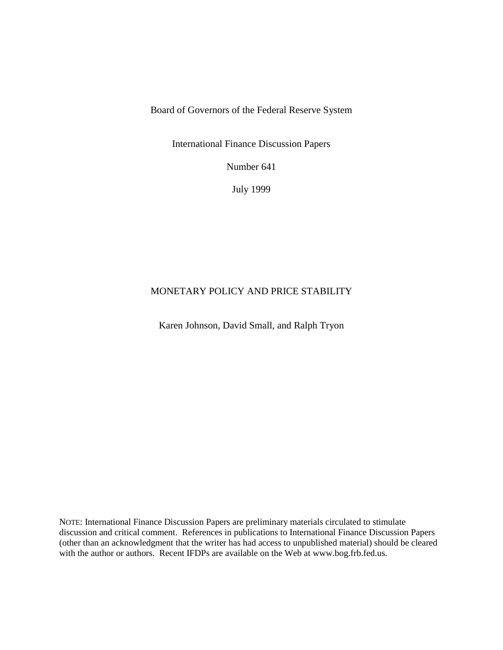Board of Governors of the Federal Reserve System

International Finance Discussion Papers

Number 641

July 1999

# MONETARY POLICY AND PRICE STABILITY

Karen Johnson, David Small, and Ralph Tryon

NOTE: International Finance Discussion Papers are preliminary materials circulated to stimulate discussion and critical comment. References in publications to International Finance Discussion Papers (other than an acknowledgment that the writer has had access to unpublished material) should be cleared with the author or authors. Recent IFDPs are available on the Web at www.bog.frb.fed.us.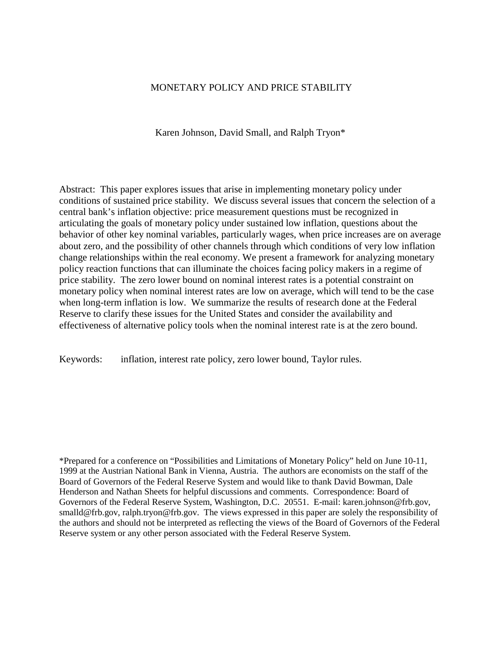## MONETARY POLICY AND PRICE STABILITY

Karen Johnson, David Small, and Ralph Tryon\*

Abstract: This paper explores issues that arise in implementing monetary policy under conditions of sustained price stability. We discuss several issues that concern the selection of a central bank's inflation objective: price measurement questions must be recognized in articulating the goals of monetary policy under sustained low inflation, questions about the behavior of other key nominal variables, particularly wages, when price increases are on average about zero, and the possibility of other channels through which conditions of very low inflation change relationships within the real economy. We present a framework for analyzing monetary policy reaction functions that can illuminate the choices facing policy makers in a regime of price stability. The zero lower bound on nominal interest rates is a potential constraint on monetary policy when nominal interest rates are low on average, which will tend to be the case when long-term inflation is low. We summarize the results of research done at the Federal Reserve to clarify these issues for the United States and consider the availability and effectiveness of alternative policy tools when the nominal interest rate is at the zero bound.

Keywords: inflation, interest rate policy, zero lower bound, Taylor rules.

\*Prepared for a conference on "Possibilities and Limitations of Monetary Policy" held on June 10-11, 1999 at the Austrian National Bank in Vienna, Austria. The authors are economists on the staff of the Board of Governors of the Federal Reserve System and would like to thank David Bowman, Dale Henderson and Nathan Sheets for helpful discussions and comments. Correspondence: Board of Governors of the Federal Reserve System, Washington, D.C. 20551. E-mail: karen.johnson@frb.gov, smalld@frb.gov, ralph.tryon@frb.gov. The views expressed in this paper are solely the responsibility of the authors and should not be interpreted as reflecting the views of the Board of Governors of the Federal Reserve system or any other person associated with the Federal Reserve System.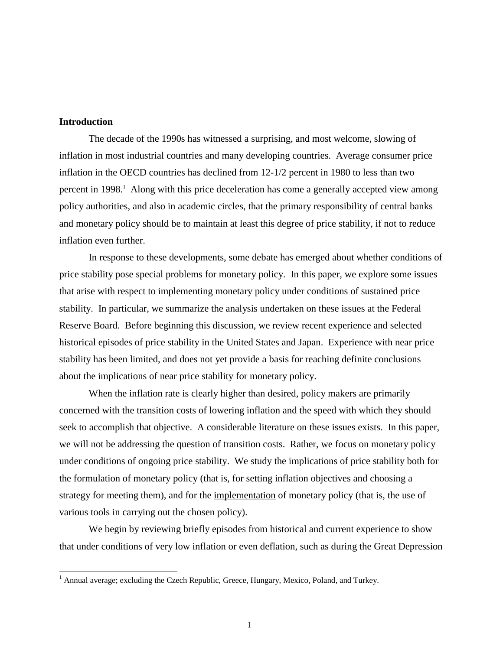## **Introduction**

 $\overline{a}$ 

The decade of the 1990s has witnessed a surprising, and most welcome, slowing of inflation in most industrial countries and many developing countries. Average consumer price inflation in the OECD countries has declined from 12-1/2 percent in 1980 to less than two percent in 1998.<sup>1</sup> Along with this price deceleration has come a generally accepted view among policy authorities, and also in academic circles, that the primary responsibility of central banks and monetary policy should be to maintain at least this degree of price stability, if not to reduce inflation even further.

In response to these developments, some debate has emerged about whether conditions of price stability pose special problems for monetary policy. In this paper, we explore some issues that arise with respect to implementing monetary policy under conditions of sustained price stability. In particular, we summarize the analysis undertaken on these issues at the Federal Reserve Board. Before beginning this discussion, we review recent experience and selected historical episodes of price stability in the United States and Japan. Experience with near price stability has been limited, and does not yet provide a basis for reaching definite conclusions about the implications of near price stability for monetary policy.

When the inflation rate is clearly higher than desired, policy makers are primarily concerned with the transition costs of lowering inflation and the speed with which they should seek to accomplish that objective. A considerable literature on these issues exists. In this paper, we will not be addressing the question of transition costs. Rather, we focus on monetary policy under conditions of ongoing price stability. We study the implications of price stability both for the formulation of monetary policy (that is, for setting inflation objectives and choosing a strategy for meeting them), and for the implementation of monetary policy (that is, the use of various tools in carrying out the chosen policy).

We begin by reviewing briefly episodes from historical and current experience to show that under conditions of very low inflation or even deflation, such as during the Great Depression

<sup>&</sup>lt;sup>1</sup> Annual average; excluding the Czech Republic, Greece, Hungary, Mexico, Poland, and Turkey.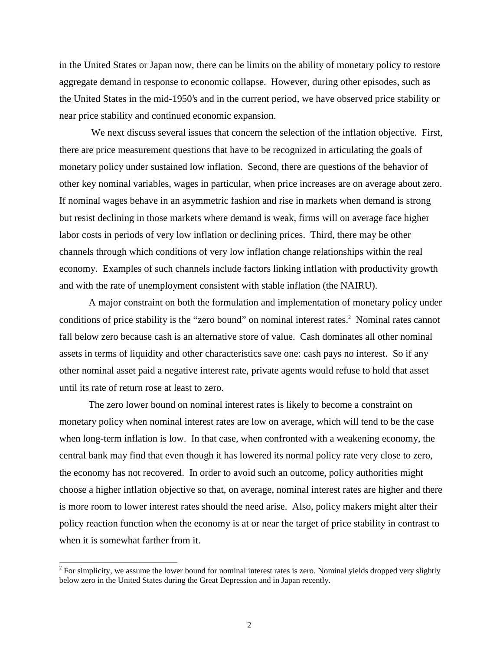in the United States or Japan now, there can be limits on the ability of monetary policy to restore aggregate demand in response to economic collapse. However, during other episodes, such as the United States in the mid-1950's and in the current period, we have observed price stability or near price stability and continued economic expansion.

 We next discuss several issues that concern the selection of the inflation objective. First, there are price measurement questions that have to be recognized in articulating the goals of monetary policy under sustained low inflation. Second, there are questions of the behavior of other key nominal variables, wages in particular, when price increases are on average about zero. If nominal wages behave in an asymmetric fashion and rise in markets when demand is strong but resist declining in those markets where demand is weak, firms will on average face higher labor costs in periods of very low inflation or declining prices. Third, there may be other channels through which conditions of very low inflation change relationships within the real economy. Examples of such channels include factors linking inflation with productivity growth and with the rate of unemployment consistent with stable inflation (the NAIRU).

A major constraint on both the formulation and implementation of monetary policy under conditions of price stability is the "zero bound" on nominal interest rates.<sup>2</sup> Nominal rates cannot fall below zero because cash is an alternative store of value. Cash dominates all other nominal assets in terms of liquidity and other characteristics save one: cash pays no interest. So if any other nominal asset paid a negative interest rate, private agents would refuse to hold that asset until its rate of return rose at least to zero.

The zero lower bound on nominal interest rates is likely to become a constraint on monetary policy when nominal interest rates are low on average, which will tend to be the case when long-term inflation is low. In that case, when confronted with a weakening economy, the central bank may find that even though it has lowered its normal policy rate very close to zero, the economy has not recovered. In order to avoid such an outcome, policy authorities might choose a higher inflation objective so that, on average, nominal interest rates are higher and there is more room to lower interest rates should the need arise. Also, policy makers might alter their policy reaction function when the economy is at or near the target of price stability in contrast to when it is somewhat farther from it.

 $2^{2}$  For simplicity, we assume the lower bound for nominal interest rates is zero. Nominal yields dropped very slightly below zero in the United States during the Great Depression and in Japan recently.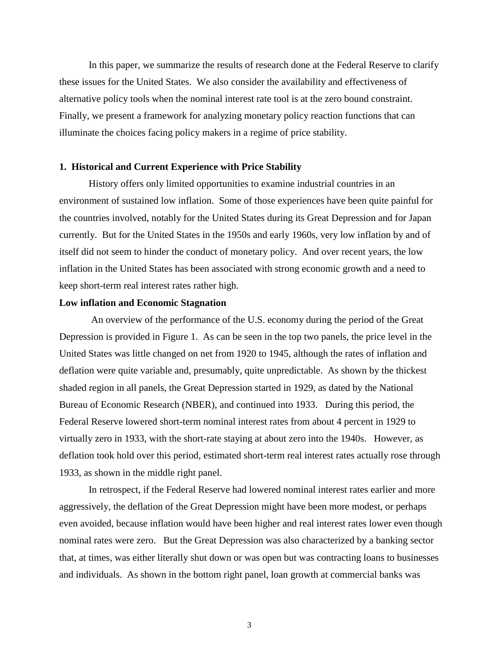In this paper, we summarize the results of research done at the Federal Reserve to clarify these issues for the United States. We also consider the availability and effectiveness of alternative policy tools when the nominal interest rate tool is at the zero bound constraint. Finally, we present a framework for analyzing monetary policy reaction functions that can illuminate the choices facing policy makers in a regime of price stability.

#### **1. Historical and Current Experience with Price Stability**

History offers only limited opportunities to examine industrial countries in an environment of sustained low inflation. Some of those experiences have been quite painful for the countries involved, notably for the United States during its Great Depression and for Japan currently. But for the United States in the 1950s and early 1960s, very low inflation by and of itself did not seem to hinder the conduct of monetary policy. And over recent years, the low inflation in the United States has been associated with strong economic growth and a need to keep short-term real interest rates rather high.

#### **Low inflation and Economic Stagnation**

 An overview of the performance of the U.S. economy during the period of the Great Depression is provided in Figure 1. As can be seen in the top two panels, the price level in the United States was little changed on net from 1920 to 1945, although the rates of inflation and deflation were quite variable and, presumably, quite unpredictable. As shown by the thickest shaded region in all panels, the Great Depression started in 1929, as dated by the National Bureau of Economic Research (NBER), and continued into 1933. During this period, the Federal Reserve lowered short-term nominal interest rates from about 4 percent in 1929 to virtually zero in 1933, with the short-rate staying at about zero into the 1940s. However, as deflation took hold over this period, estimated short-term real interest rates actually rose through 1933, as shown in the middle right panel.

In retrospect, if the Federal Reserve had lowered nominal interest rates earlier and more aggressively, the deflation of the Great Depression might have been more modest, or perhaps even avoided, because inflation would have been higher and real interest rates lower even though nominal rates were zero. But the Great Depression was also characterized by a banking sector that, at times, was either literally shut down or was open but was contracting loans to businesses and individuals. As shown in the bottom right panel, loan growth at commercial banks was

3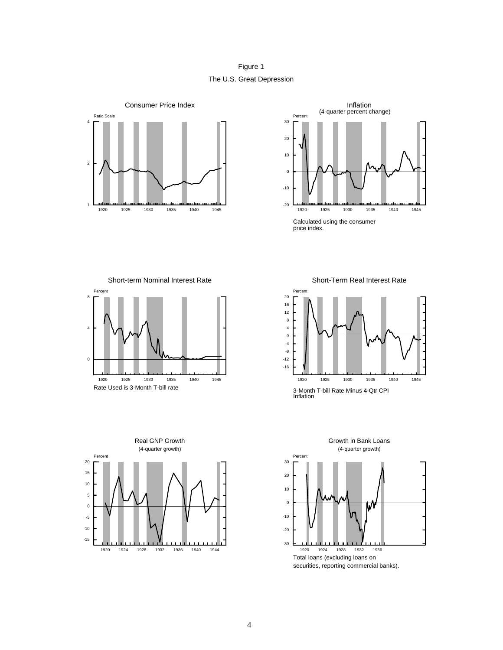Figure 1 The U.S. Great Depression





Short-term Nominal Interest Rate







Short-Term Real Interest Rate



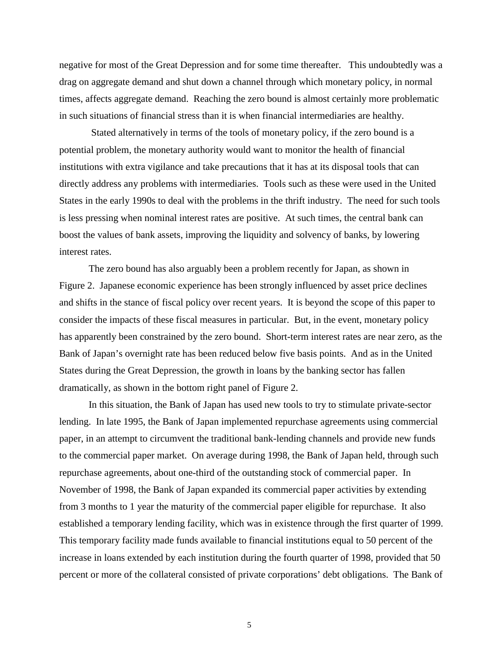negative for most of the Great Depression and for some time thereafter. This undoubtedly was a drag on aggregate demand and shut down a channel through which monetary policy, in normal times, affects aggregate demand. Reaching the zero bound is almost certainly more problematic in such situations of financial stress than it is when financial intermediaries are healthy.

 Stated alternatively in terms of the tools of monetary policy, if the zero bound is a potential problem, the monetary authority would want to monitor the health of financial institutions with extra vigilance and take precautions that it has at its disposal tools that can directly address any problems with intermediaries. Tools such as these were used in the United States in the early 1990s to deal with the problems in the thrift industry. The need for such tools is less pressing when nominal interest rates are positive. At such times, the central bank can boost the values of bank assets, improving the liquidity and solvency of banks, by lowering interest rates.

The zero bound has also arguably been a problem recently for Japan, as shown in Figure 2. Japanese economic experience has been strongly influenced by asset price declines and shifts in the stance of fiscal policy over recent years. It is beyond the scope of this paper to consider the impacts of these fiscal measures in particular. But, in the event, monetary policy has apparently been constrained by the zero bound. Short-term interest rates are near zero, as the Bank of Japan's overnight rate has been reduced below five basis points. And as in the United States during the Great Depression, the growth in loans by the banking sector has fallen dramatically, as shown in the bottom right panel of Figure 2.

In this situation, the Bank of Japan has used new tools to try to stimulate private-sector lending. In late 1995, the Bank of Japan implemented repurchase agreements using commercial paper, in an attempt to circumvent the traditional bank-lending channels and provide new funds to the commercial paper market. On average during 1998, the Bank of Japan held, through such repurchase agreements, about one-third of the outstanding stock of commercial paper. In November of 1998, the Bank of Japan expanded its commercial paper activities by extending from 3 months to 1 year the maturity of the commercial paper eligible for repurchase. It also established a temporary lending facility, which was in existence through the first quarter of 1999. This temporary facility made funds available to financial institutions equal to 50 percent of the increase in loans extended by each institution during the fourth quarter of 1998, provided that 50 percent or more of the collateral consisted of private corporations' debt obligations. The Bank of

5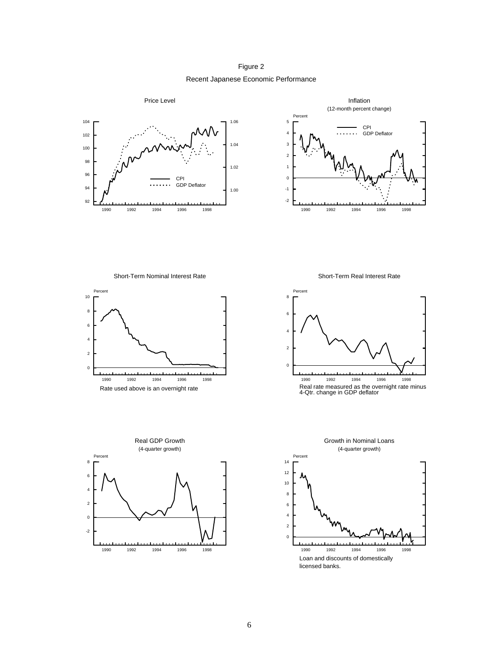Recent Japanese Economic Performance Figure 2





Short-Term Nominal Interest Rate





Short-Term Real Interest Rate



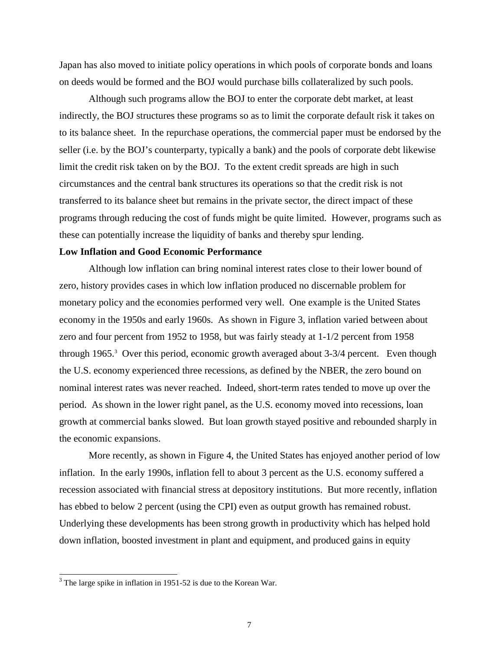Japan has also moved to initiate policy operations in which pools of corporate bonds and loans on deeds would be formed and the BOJ would purchase bills collateralized by such pools.

Although such programs allow the BOJ to enter the corporate debt market, at least indirectly, the BOJ structures these programs so as to limit the corporate default risk it takes on to its balance sheet. In the repurchase operations, the commercial paper must be endorsed by the seller (i.e. by the BOJ's counterparty, typically a bank) and the pools of corporate debt likewise limit the credit risk taken on by the BOJ. To the extent credit spreads are high in such circumstances and the central bank structures its operations so that the credit risk is not transferred to its balance sheet but remains in the private sector, the direct impact of these programs through reducing the cost of funds might be quite limited. However, programs such as these can potentially increase the liquidity of banks and thereby spur lending.

#### **Low Inflation and Good Economic Performance**

Although low inflation can bring nominal interest rates close to their lower bound of zero, history provides cases in which low inflation produced no discernable problem for monetary policy and the economies performed very well. One example is the United States economy in the 1950s and early 1960s. As shown in Figure 3, inflation varied between about zero and four percent from 1952 to 1958, but was fairly steady at 1-1/2 percent from 1958 through 1965.<sup>3</sup> Over this period, economic growth averaged about 3-3/4 percent. Even though the U.S. economy experienced three recessions, as defined by the NBER, the zero bound on nominal interest rates was never reached. Indeed, short-term rates tended to move up over the period. As shown in the lower right panel, as the U.S. economy moved into recessions, loan growth at commercial banks slowed. But loan growth stayed positive and rebounded sharply in the economic expansions.

More recently, as shown in Figure 4, the United States has enjoyed another period of low inflation. In the early 1990s, inflation fell to about 3 percent as the U.S. economy suffered a recession associated with financial stress at depository institutions. But more recently, inflation has ebbed to below 2 percent (using the CPI) even as output growth has remained robust. Underlying these developments has been strong growth in productivity which has helped hold down inflation, boosted investment in plant and equipment, and produced gains in equity

<sup>&</sup>lt;sup>3</sup> The large spike in inflation in 1951-52 is due to the Korean War.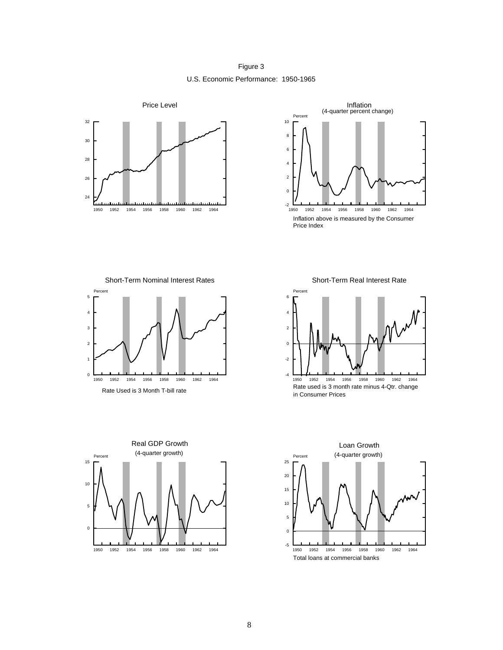Figure 3 U.S. Economic Performance: 1950-1965





Short-Term Nominal Interest Rates



Short-Term Real Interest Rate





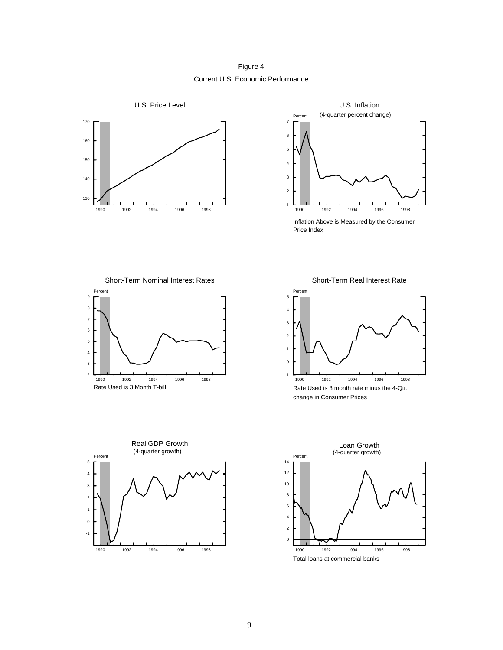Figure 4 Current U.S. Economic Performance





Short-Term Nominal Interest Rates





Short-Term Real Interest Rate



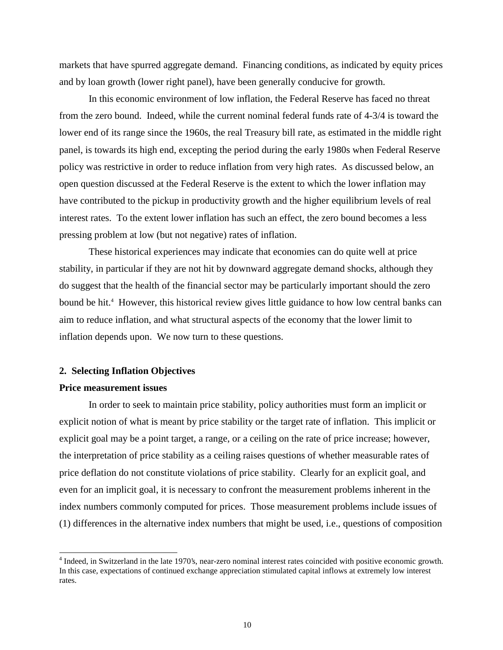markets that have spurred aggregate demand. Financing conditions, as indicated by equity prices and by loan growth (lower right panel), have been generally conducive for growth.

In this economic environment of low inflation, the Federal Reserve has faced no threat from the zero bound. Indeed, while the current nominal federal funds rate of 4-3/4 is toward the lower end of its range since the 1960s, the real Treasury bill rate, as estimated in the middle right panel, is towards its high end, excepting the period during the early 1980s when Federal Reserve policy was restrictive in order to reduce inflation from very high rates. As discussed below, an open question discussed at the Federal Reserve is the extent to which the lower inflation may have contributed to the pickup in productivity growth and the higher equilibrium levels of real interest rates. To the extent lower inflation has such an effect, the zero bound becomes a less pressing problem at low (but not negative) rates of inflation.

These historical experiences may indicate that economies can do quite well at price stability, in particular if they are not hit by downward aggregate demand shocks, although they do suggest that the health of the financial sector may be particularly important should the zero bound be hit.<sup>4</sup> However, this historical review gives little guidance to how low central banks can aim to reduce inflation, and what structural aspects of the economy that the lower limit to inflation depends upon. We now turn to these questions.

#### **2. Selecting Inflation Objectives**

### **Price measurement issues**

 $\overline{a}$ 

In order to seek to maintain price stability, policy authorities must form an implicit or explicit notion of what is meant by price stability or the target rate of inflation. This implicit or explicit goal may be a point target, a range, or a ceiling on the rate of price increase; however, the interpretation of price stability as a ceiling raises questions of whether measurable rates of price deflation do not constitute violations of price stability. Clearly for an explicit goal, and even for an implicit goal, it is necessary to confront the measurement problems inherent in the index numbers commonly computed for prices. Those measurement problems include issues of (1) differences in the alternative index numbers that might be used, i.e., questions of composition

<sup>&</sup>lt;sup>4</sup> Indeed, in Switzerland in the late 1970's, near-zero nominal interest rates coincided with positive economic growth. In this case, expectations of continued exchange appreciation stimulated capital inflows at extremely low interest rates.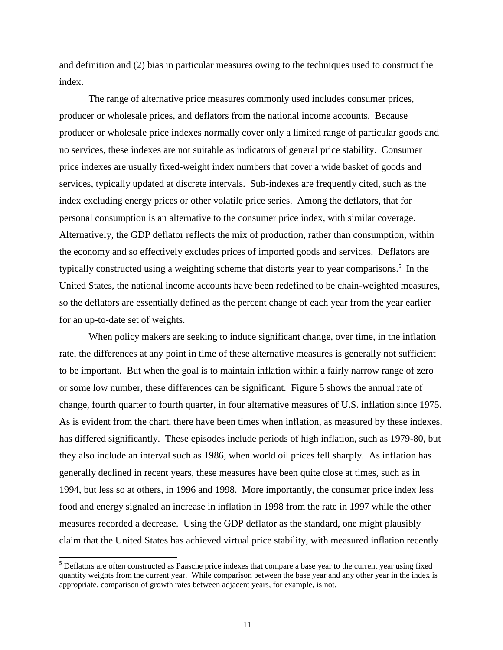and definition and (2) bias in particular measures owing to the techniques used to construct the index.

The range of alternative price measures commonly used includes consumer prices, producer or wholesale prices, and deflators from the national income accounts. Because producer or wholesale price indexes normally cover only a limited range of particular goods and no services, these indexes are not suitable as indicators of general price stability. Consumer price indexes are usually fixed-weight index numbers that cover a wide basket of goods and services, typically updated at discrete intervals. Sub-indexes are frequently cited, such as the index excluding energy prices or other volatile price series. Among the deflators, that for personal consumption is an alternative to the consumer price index, with similar coverage. Alternatively, the GDP deflator reflects the mix of production, rather than consumption, within the economy and so effectively excludes prices of imported goods and services. Deflators are typically constructed using a weighting scheme that distorts year to year comparisons.<sup>5</sup> In the United States, the national income accounts have been redefined to be chain-weighted measures, so the deflators are essentially defined as the percent change of each year from the year earlier for an up-to-date set of weights.

When policy makers are seeking to induce significant change, over time, in the inflation rate, the differences at any point in time of these alternative measures is generally not sufficient to be important. But when the goal is to maintain inflation within a fairly narrow range of zero or some low number, these differences can be significant. Figure 5 shows the annual rate of change, fourth quarter to fourth quarter, in four alternative measures of U.S. inflation since 1975. As is evident from the chart, there have been times when inflation, as measured by these indexes, has differed significantly. These episodes include periods of high inflation, such as 1979-80, but they also include an interval such as 1986, when world oil prices fell sharply. As inflation has generally declined in recent years, these measures have been quite close at times, such as in 1994, but less so at others, in 1996 and 1998. More importantly, the consumer price index less food and energy signaled an increase in inflation in 1998 from the rate in 1997 while the other measures recorded a decrease. Using the GDP deflator as the standard, one might plausibly claim that the United States has achieved virtual price stability, with measured inflation recently

<sup>&</sup>lt;sup>5</sup> Deflators are often constructed as Paasche price indexes that compare a base year to the current year using fixed quantity weights from the current year. While comparison between the base year and any other year in the index is appropriate, comparison of growth rates between adjacent years, for example, is not.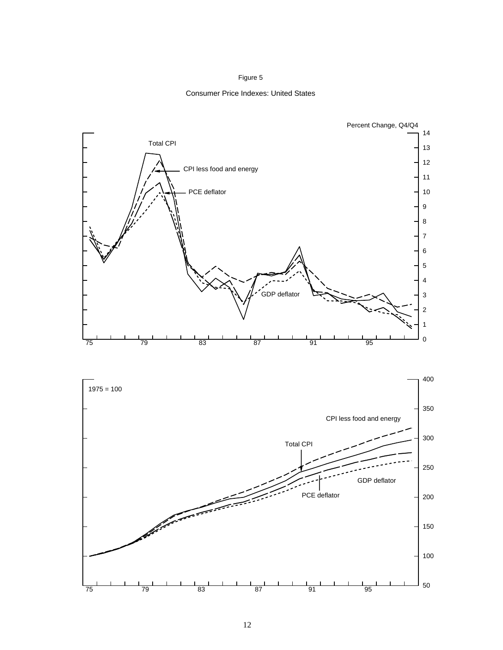#### Figure 5

#### Consumer Price Indexes: United States



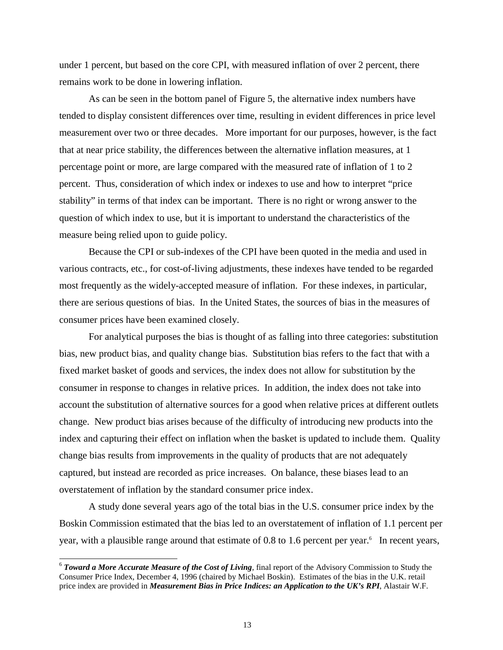under 1 percent, but based on the core CPI, with measured inflation of over 2 percent, there remains work to be done in lowering inflation.

As can be seen in the bottom panel of Figure 5, the alternative index numbers have tended to display consistent differences over time, resulting in evident differences in price level measurement over two or three decades. More important for our purposes, however, is the fact that at near price stability, the differences between the alternative inflation measures, at 1 percentage point or more, are large compared with the measured rate of inflation of 1 to 2 percent. Thus, consideration of which index or indexes to use and how to interpret "price stability" in terms of that index can be important. There is no right or wrong answer to the question of which index to use, but it is important to understand the characteristics of the measure being relied upon to guide policy.

Because the CPI or sub-indexes of the CPI have been quoted in the media and used in various contracts, etc., for cost-of-living adjustments, these indexes have tended to be regarded most frequently as the widely-accepted measure of inflation. For these indexes, in particular, there are serious questions of bias. In the United States, the sources of bias in the measures of consumer prices have been examined closely.

For analytical purposes the bias is thought of as falling into three categories: substitution bias, new product bias, and quality change bias. Substitution bias refers to the fact that with a fixed market basket of goods and services, the index does not allow for substitution by the consumer in response to changes in relative prices. In addition, the index does not take into account the substitution of alternative sources for a good when relative prices at different outlets change. New product bias arises because of the difficulty of introducing new products into the index and capturing their effect on inflation when the basket is updated to include them. Quality change bias results from improvements in the quality of products that are not adequately captured, but instead are recorded as price increases. On balance, these biases lead to an overstatement of inflation by the standard consumer price index.

A study done several years ago of the total bias in the U.S. consumer price index by the Boskin Commission estimated that the bias led to an overstatement of inflation of 1.1 percent per year, with a plausible range around that estimate of 0.8 to 1.6 percent per year.<sup>6</sup> In recent years,

<sup>&</sup>lt;sup>6</sup> Toward a More Accurate Measure of the Cost of Living, final report of the Advisory Commission to Study the Consumer Price Index, December 4, 1996 (chaired by Michael Boskin). Estimates of the bias in the U.K. retail price index are provided in *Measurement Bias in Price Indices: an Application to the UK's RPI*, Alastair W.F.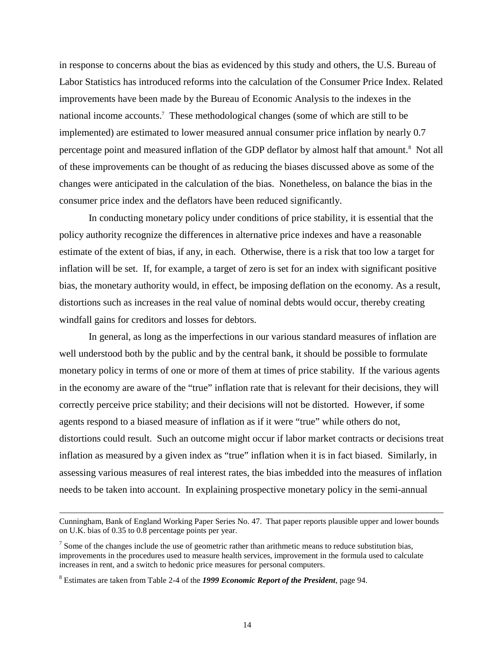in response to concerns about the bias as evidenced by this study and others, the U.S. Bureau of Labor Statistics has introduced reforms into the calculation of the Consumer Price Index. Related improvements have been made by the Bureau of Economic Analysis to the indexes in the national income accounts.<sup>7</sup> These methodological changes (some of which are still to be implemented) are estimated to lower measured annual consumer price inflation by nearly 0.7 percentage point and measured inflation of the GDP deflator by almost half that amount.<sup>8</sup> Not all of these improvements can be thought of as reducing the biases discussed above as some of the changes were anticipated in the calculation of the bias. Nonetheless, on balance the bias in the consumer price index and the deflators have been reduced significantly.

In conducting monetary policy under conditions of price stability, it is essential that the policy authority recognize the differences in alternative price indexes and have a reasonable estimate of the extent of bias, if any, in each. Otherwise, there is a risk that too low a target for inflation will be set. If, for example, a target of zero is set for an index with significant positive bias, the monetary authority would, in effect, be imposing deflation on the economy. As a result, distortions such as increases in the real value of nominal debts would occur, thereby creating windfall gains for creditors and losses for debtors.

In general, as long as the imperfections in our various standard measures of inflation are well understood both by the public and by the central bank, it should be possible to formulate monetary policy in terms of one or more of them at times of price stability. If the various agents in the economy are aware of the "true" inflation rate that is relevant for their decisions, they will correctly perceive price stability; and their decisions will not be distorted. However, if some agents respond to a biased measure of inflation as if it were "true" while others do not, distortions could result. Such an outcome might occur if labor market contracts or decisions treat inflation as measured by a given index as "true" inflation when it is in fact biased. Similarly, in assessing various measures of real interest rates, the bias imbedded into the measures of inflation needs to be taken into account. In explaining prospective monetary policy in the semi-annual

Cunningham, Bank of England Working Paper Series No. 47. That paper reports plausible upper and lower bounds on U.K. bias of 0.35 to 0.8 percentage points per year.

 $<sup>7</sup>$  Some of the changes include the use of geometric rather than arithmetic means to reduce substitution bias,</sup> improvements in the procedures used to measure health services, improvement in the formula used to calculate increases in rent, and a switch to hedonic price measures for personal computers.

<sup>8</sup> Estimates are taken from Table 2-4 of the *1999 Economic Report of the President*, page 94.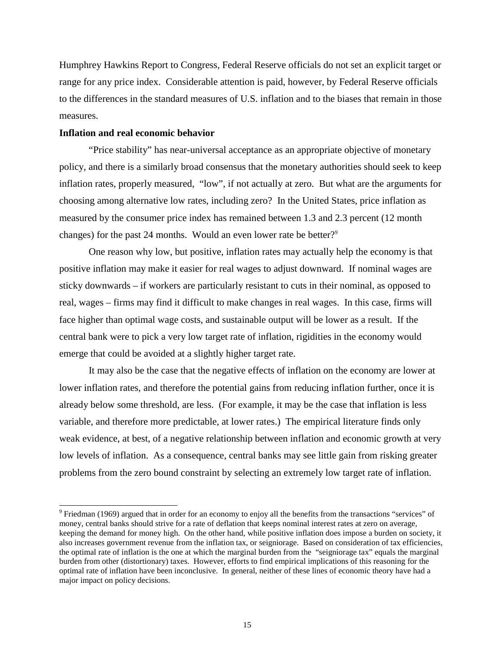Humphrey Hawkins Report to Congress, Federal Reserve officials do not set an explicit target or range for any price index. Considerable attention is paid, however, by Federal Reserve officials to the differences in the standard measures of U.S. inflation and to the biases that remain in those measures.

#### **Inflation and real economic behavior**

 $\overline{a}$ 

"Price stability" has near-universal acceptance as an appropriate objective of monetary policy, and there is a similarly broad consensus that the monetary authorities should seek to keep inflation rates, properly measured, "low", if not actually at zero. But what are the arguments for choosing among alternative low rates, including zero? In the United States, price inflation as measured by the consumer price index has remained between 1.3 and 2.3 percent (12 month changes) for the past 24 months. Would an even lower rate be better?<sup>9</sup>

One reason why low, but positive, inflation rates may actually help the economy is that positive inflation may make it easier for real wages to adjust downward. If nominal wages are sticky downwards – if workers are particularly resistant to cuts in their nominal, as opposed to real, wages – firms may find it difficult to make changes in real wages. In this case, firms will face higher than optimal wage costs, and sustainable output will be lower as a result. If the central bank were to pick a very low target rate of inflation, rigidities in the economy would emerge that could be avoided at a slightly higher target rate.

It may also be the case that the negative effects of inflation on the economy are lower at lower inflation rates, and therefore the potential gains from reducing inflation further, once it is already below some threshold, are less. (For example, it may be the case that inflation is less variable, and therefore more predictable, at lower rates.) The empirical literature finds only weak evidence, at best, of a negative relationship between inflation and economic growth at very low levels of inflation. As a consequence, central banks may see little gain from risking greater problems from the zero bound constraint by selecting an extremely low target rate of inflation.

 $9$  Friedman (1969) argued that in order for an economy to enjoy all the benefits from the transactions "services" of money, central banks should strive for a rate of deflation that keeps nominal interest rates at zero on average, keeping the demand for money high. On the other hand, while positive inflation does impose a burden on society, it also increases government revenue from the inflation tax, or seigniorage. Based on consideration of tax efficiencies, the optimal rate of inflation is the one at which the marginal burden from the "seigniorage tax" equals the marginal burden from other (distortionary) taxes. However, efforts to find empirical implications of this reasoning for the optimal rate of inflation have been inconclusive. In general, neither of these lines of economic theory have had a major impact on policy decisions.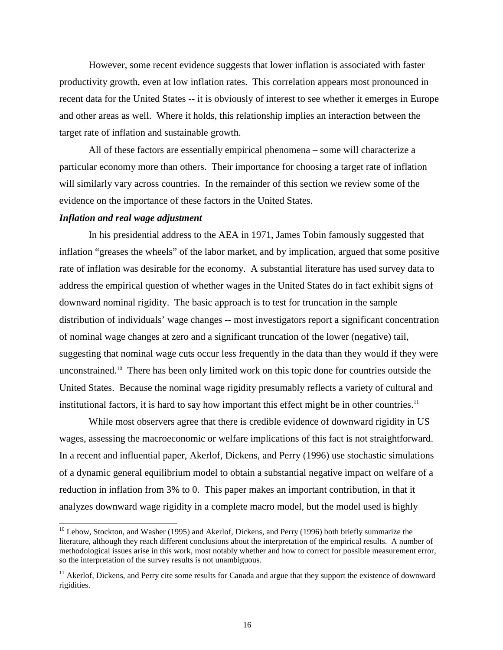However, some recent evidence suggests that lower inflation is associated with faster productivity growth, even at low inflation rates. This correlation appears most pronounced in recent data for the United States -- it is obviously of interest to see whether it emerges in Europe and other areas as well. Where it holds, this relationship implies an interaction between the target rate of inflation and sustainable growth.

All of these factors are essentially empirical phenomena – some will characterize a particular economy more than others. Their importance for choosing a target rate of inflation will similarly vary across countries. In the remainder of this section we review some of the evidence on the importance of these factors in the United States.

#### *Inflation and real wage adjustment*

 $\overline{a}$ 

In his presidential address to the AEA in 1971, James Tobin famously suggested that inflation "greases the wheels" of the labor market, and by implication, argued that some positive rate of inflation was desirable for the economy. A substantial literature has used survey data to address the empirical question of whether wages in the United States do in fact exhibit signs of downward nominal rigidity. The basic approach is to test for truncation in the sample distribution of individuals' wage changes -- most investigators report a significant concentration of nominal wage changes at zero and a significant truncation of the lower (negative) tail, suggesting that nominal wage cuts occur less frequently in the data than they would if they were unconstrained.10 There has been only limited work on this topic done for countries outside the United States. Because the nominal wage rigidity presumably reflects a variety of cultural and institutional factors, it is hard to say how important this effect might be in other countries.<sup>11</sup>

While most observers agree that there is credible evidence of downward rigidity in US wages, assessing the macroeconomic or welfare implications of this fact is not straightforward. In a recent and influential paper, Akerlof, Dickens, and Perry (1996) use stochastic simulations of a dynamic general equilibrium model to obtain a substantial negative impact on welfare of a reduction in inflation from 3% to 0. This paper makes an important contribution, in that it analyzes downward wage rigidity in a complete macro model, but the model used is highly

<sup>&</sup>lt;sup>10</sup> Lebow, Stockton, and Washer (1995) and Akerlof, Dickens, and Perry (1996) both briefly summarize the literature, although they reach different conclusions about the interpretation of the empirical results. A number of methodological issues arise in this work, most notably whether and how to correct for possible measurement error, so the interpretation of the survey results is not unambiguous.

<sup>&</sup>lt;sup>11</sup> Akerlof, Dickens, and Perry cite some results for Canada and argue that they support the existence of downward rigidities.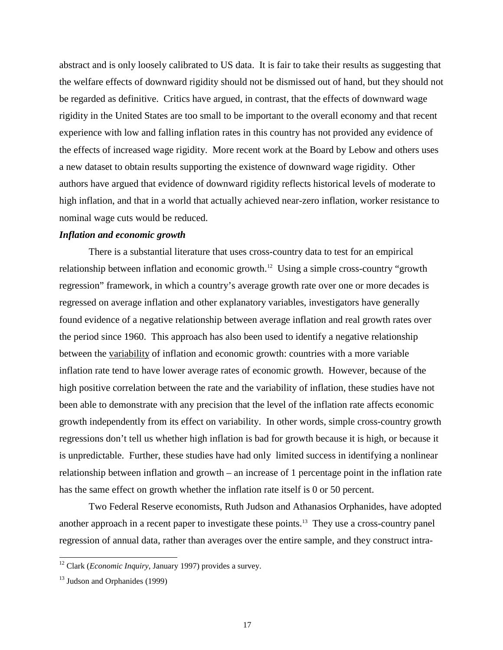abstract and is only loosely calibrated to US data. It is fair to take their results as suggesting that the welfare effects of downward rigidity should not be dismissed out of hand, but they should not be regarded as definitive. Critics have argued, in contrast, that the effects of downward wage rigidity in the United States are too small to be important to the overall economy and that recent experience with low and falling inflation rates in this country has not provided any evidence of the effects of increased wage rigidity. More recent work at the Board by Lebow and others uses a new dataset to obtain results supporting the existence of downward wage rigidity. Other authors have argued that evidence of downward rigidity reflects historical levels of moderate to high inflation, and that in a world that actually achieved near-zero inflation, worker resistance to nominal wage cuts would be reduced.

## *Inflation and economic growth*

There is a substantial literature that uses cross-country data to test for an empirical relationship between inflation and economic growth.<sup>12</sup> Using a simple cross-country "growth" regression" framework, in which a country's average growth rate over one or more decades is regressed on average inflation and other explanatory variables, investigators have generally found evidence of a negative relationship between average inflation and real growth rates over the period since 1960. This approach has also been used to identify a negative relationship between the variability of inflation and economic growth: countries with a more variable inflation rate tend to have lower average rates of economic growth. However, because of the high positive correlation between the rate and the variability of inflation, these studies have not been able to demonstrate with any precision that the level of the inflation rate affects economic growth independently from its effect on variability. In other words, simple cross-country growth regressions don't tell us whether high inflation is bad for growth because it is high, or because it is unpredictable. Further, these studies have had only limited success in identifying a nonlinear relationship between inflation and growth – an increase of 1 percentage point in the inflation rate has the same effect on growth whether the inflation rate itself is 0 or 50 percent.

Two Federal Reserve economists, Ruth Judson and Athanasios Orphanides, have adopted another approach in a recent paper to investigate these points.<sup>13</sup> They use a cross-country panel regression of annual data, rather than averages over the entire sample, and they construct intra-

<sup>12</sup> Clark (*Economic Inquiry*, January 1997) provides a survey.

 $13$  Judson and Orphanides (1999)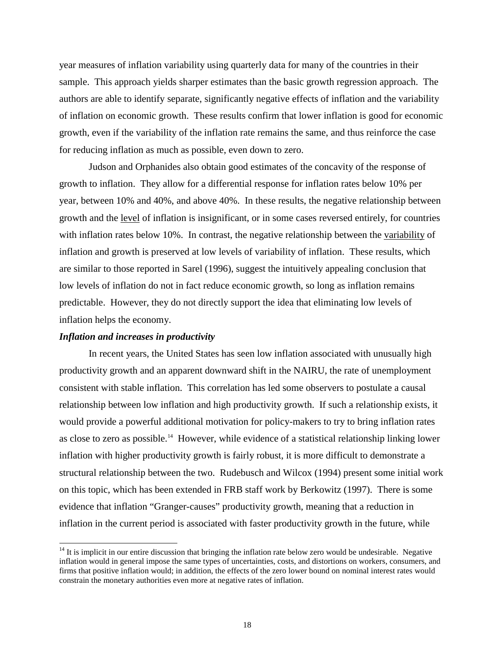year measures of inflation variability using quarterly data for many of the countries in their sample. This approach yields sharper estimates than the basic growth regression approach. The authors are able to identify separate, significantly negative effects of inflation and the variability of inflation on economic growth. These results confirm that lower inflation is good for economic growth, even if the variability of the inflation rate remains the same, and thus reinforce the case for reducing inflation as much as possible, even down to zero.

Judson and Orphanides also obtain good estimates of the concavity of the response of growth to inflation. They allow for a differential response for inflation rates below 10% per year, between 10% and 40%, and above 40%. In these results, the negative relationship between growth and the level of inflation is insignificant, or in some cases reversed entirely, for countries with inflation rates below 10%. In contrast, the negative relationship between the variability of inflation and growth is preserved at low levels of variability of inflation. These results, which are similar to those reported in Sarel (1996), suggest the intuitively appealing conclusion that low levels of inflation do not in fact reduce economic growth, so long as inflation remains predictable. However, they do not directly support the idea that eliminating low levels of inflation helps the economy.

#### *Inflation and increases in productivity*

 $\overline{a}$ 

In recent years, the United States has seen low inflation associated with unusually high productivity growth and an apparent downward shift in the NAIRU, the rate of unemployment consistent with stable inflation. This correlation has led some observers to postulate a causal relationship between low inflation and high productivity growth. If such a relationship exists, it would provide a powerful additional motivation for policy-makers to try to bring inflation rates as close to zero as possible.<sup>14</sup> However, while evidence of a statistical relationship linking lower inflation with higher productivity growth is fairly robust, it is more difficult to demonstrate a structural relationship between the two. Rudebusch and Wilcox (1994) present some initial work on this topic, which has been extended in FRB staff work by Berkowitz (1997). There is some evidence that inflation "Granger-causes" productivity growth, meaning that a reduction in inflation in the current period is associated with faster productivity growth in the future, while

 $14$  It is implicit in our entire discussion that bringing the inflation rate below zero would be undesirable. Negative inflation would in general impose the same types of uncertainties, costs, and distortions on workers, consumers, and firms that positive inflation would; in addition, the effects of the zero lower bound on nominal interest rates would constrain the monetary authorities even more at negative rates of inflation.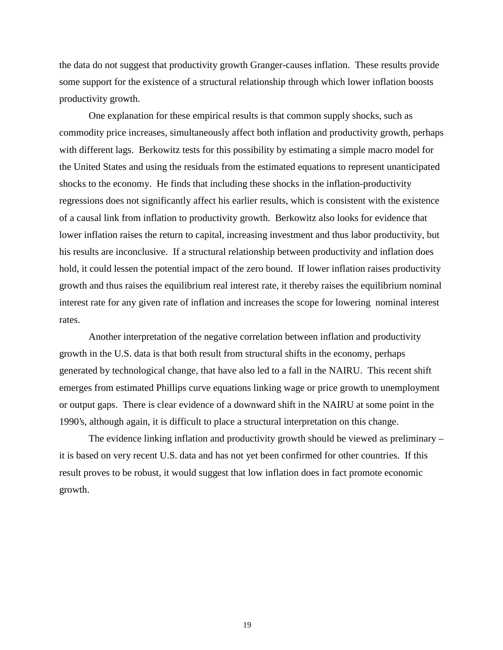the data do not suggest that productivity growth Granger-causes inflation. These results provide some support for the existence of a structural relationship through which lower inflation boosts productivity growth.

One explanation for these empirical results is that common supply shocks, such as commodity price increases, simultaneously affect both inflation and productivity growth, perhaps with different lags. Berkowitz tests for this possibility by estimating a simple macro model for the United States and using the residuals from the estimated equations to represent unanticipated shocks to the economy. He finds that including these shocks in the inflation-productivity regressions does not significantly affect his earlier results, which is consistent with the existence of a causal link from inflation to productivity growth. Berkowitz also looks for evidence that lower inflation raises the return to capital, increasing investment and thus labor productivity, but his results are inconclusive. If a structural relationship between productivity and inflation does hold, it could lessen the potential impact of the zero bound. If lower inflation raises productivity growth and thus raises the equilibrium real interest rate, it thereby raises the equilibrium nominal interest rate for any given rate of inflation and increases the scope for lowering nominal interest rates.

Another interpretation of the negative correlation between inflation and productivity growth in the U.S. data is that both result from structural shifts in the economy, perhaps generated by technological change, that have also led to a fall in the NAIRU. This recent shift emerges from estimated Phillips curve equations linking wage or price growth to unemployment or output gaps. There is clear evidence of a downward shift in the NAIRU at some point in the 1990's, although again, it is difficult to place a structural interpretation on this change.

The evidence linking inflation and productivity growth should be viewed as preliminary – it is based on very recent U.S. data and has not yet been confirmed for other countries. If this result proves to be robust, it would suggest that low inflation does in fact promote economic growth.

19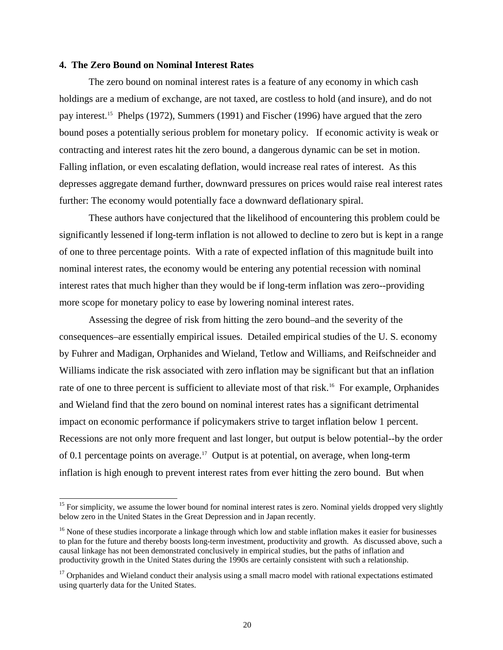#### **4. The Zero Bound on Nominal Interest Rates**

 $\overline{a}$ 

The zero bound on nominal interest rates is a feature of any economy in which cash holdings are a medium of exchange, are not taxed, are costless to hold (and insure), and do not pay interest.15 Phelps (1972), Summers (1991) and Fischer (1996) have argued that the zero bound poses a potentially serious problem for monetary policy. If economic activity is weak or contracting and interest rates hit the zero bound, a dangerous dynamic can be set in motion. Falling inflation, or even escalating deflation, would increase real rates of interest. As this depresses aggregate demand further, downward pressures on prices would raise real interest rates further: The economy would potentially face a downward deflationary spiral.

These authors have conjectured that the likelihood of encountering this problem could be significantly lessened if long-term inflation is not allowed to decline to zero but is kept in a range of one to three percentage points. With a rate of expected inflation of this magnitude built into nominal interest rates, the economy would be entering any potential recession with nominal interest rates that much higher than they would be if long-term inflation was zero--providing more scope for monetary policy to ease by lowering nominal interest rates.

Assessing the degree of risk from hitting the zero bound–and the severity of the consequences–are essentially empirical issues. Detailed empirical studies of the U. S. economy by Fuhrer and Madigan, Orphanides and Wieland, Tetlow and Williams, and Reifschneider and Williams indicate the risk associated with zero inflation may be significant but that an inflation rate of one to three percent is sufficient to alleviate most of that risk.<sup>16</sup> For example, Orphanides and Wieland find that the zero bound on nominal interest rates has a significant detrimental impact on economic performance if policymakers strive to target inflation below 1 percent. Recessions are not only more frequent and last longer, but output is below potential--by the order of 0.1 percentage points on average.<sup>17</sup> Output is at potential, on average, when long-term inflation is high enough to prevent interest rates from ever hitting the zero bound. But when

<sup>&</sup>lt;sup>15</sup> For simplicity, we assume the lower bound for nominal interest rates is zero. Nominal yields dropped very slightly below zero in the United States in the Great Depression and in Japan recently.

<sup>&</sup>lt;sup>16</sup> None of these studies incorporate a linkage through which low and stable inflation makes it easier for businesses to plan for the future and thereby boosts long-term investment, productivity and growth. As discussed above, such a causal linkage has not been demonstrated conclusively in empirical studies, but the paths of inflation and productivity growth in the United States during the 1990s are certainly consistent with such a relationship.

 $17$  Orphanides and Wieland conduct their analysis using a small macro model with rational expectations estimated using quarterly data for the United States.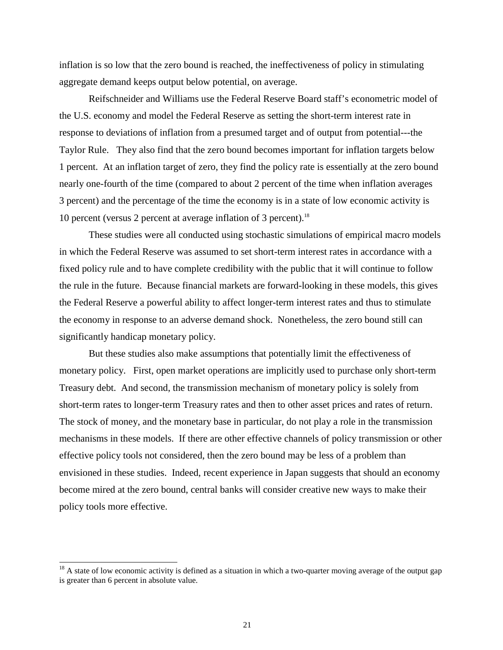inflation is so low that the zero bound is reached, the ineffectiveness of policy in stimulating aggregate demand keeps output below potential, on average.

Reifschneider and Williams use the Federal Reserve Board staff's econometric model of the U.S. economy and model the Federal Reserve as setting the short-term interest rate in response to deviations of inflation from a presumed target and of output from potential---the Taylor Rule. They also find that the zero bound becomes important for inflation targets below 1 percent. At an inflation target of zero, they find the policy rate is essentially at the zero bound nearly one-fourth of the time (compared to about 2 percent of the time when inflation averages 3 percent) and the percentage of the time the economy is in a state of low economic activity is 10 percent (versus 2 percent at average inflation of 3 percent).18

These studies were all conducted using stochastic simulations of empirical macro models in which the Federal Reserve was assumed to set short-term interest rates in accordance with a fixed policy rule and to have complete credibility with the public that it will continue to follow the rule in the future. Because financial markets are forward-looking in these models, this gives the Federal Reserve a powerful ability to affect longer-term interest rates and thus to stimulate the economy in response to an adverse demand shock. Nonetheless, the zero bound still can significantly handicap monetary policy.

But these studies also make assumptions that potentially limit the effectiveness of monetary policy. First, open market operations are implicitly used to purchase only short-term Treasury debt. And second, the transmission mechanism of monetary policy is solely from short-term rates to longer-term Treasury rates and then to other asset prices and rates of return. The stock of money, and the monetary base in particular, do not play a role in the transmission mechanisms in these models. If there are other effective channels of policy transmission or other effective policy tools not considered, then the zero bound may be less of a problem than envisioned in these studies. Indeed, recent experience in Japan suggests that should an economy become mired at the zero bound, central banks will consider creative new ways to make their policy tools more effective.

 $18$  A state of low economic activity is defined as a situation in which a two-quarter moving average of the output gap is greater than 6 percent in absolute value.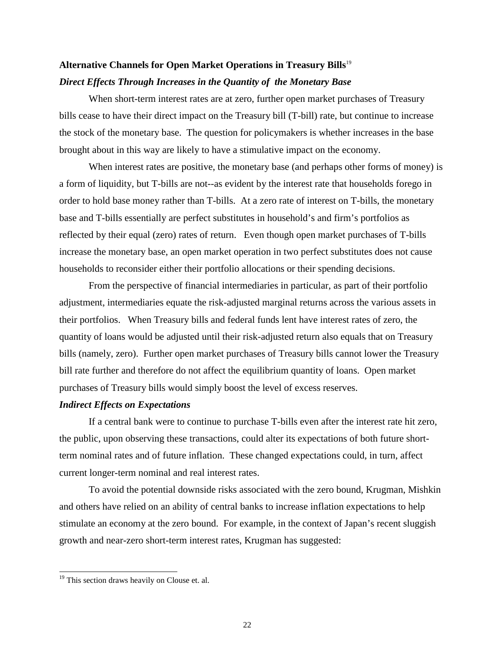# **Alternative Channels for Open Market Operations in Treasury Bills**<sup>19</sup> *Direct Effects Through Increases in the Quantity of the Monetary Base*

When short-term interest rates are at zero, further open market purchases of Treasury bills cease to have their direct impact on the Treasury bill (T-bill) rate, but continue to increase the stock of the monetary base. The question for policymakers is whether increases in the base brought about in this way are likely to have a stimulative impact on the economy.

When interest rates are positive, the monetary base (and perhaps other forms of money) is a form of liquidity, but T-bills are not--as evident by the interest rate that households forego in order to hold base money rather than T-bills. At a zero rate of interest on T-bills, the monetary base and T-bills essentially are perfect substitutes in household's and firm's portfolios as reflected by their equal (zero) rates of return. Even though open market purchases of T-bills increase the monetary base, an open market operation in two perfect substitutes does not cause households to reconsider either their portfolio allocations or their spending decisions.

From the perspective of financial intermediaries in particular, as part of their portfolio adjustment, intermediaries equate the risk-adjusted marginal returns across the various assets in their portfolios. When Treasury bills and federal funds lent have interest rates of zero, the quantity of loans would be adjusted until their risk-adjusted return also equals that on Treasury bills (namely, zero). Further open market purchases of Treasury bills cannot lower the Treasury bill rate further and therefore do not affect the equilibrium quantity of loans. Open market purchases of Treasury bills would simply boost the level of excess reserves.

#### *Indirect Effects on Expectations*

If a central bank were to continue to purchase T-bills even after the interest rate hit zero, the public, upon observing these transactions, could alter its expectations of both future shortterm nominal rates and of future inflation. These changed expectations could, in turn, affect current longer-term nominal and real interest rates.

To avoid the potential downside risks associated with the zero bound, Krugman, Mishkin and others have relied on an ability of central banks to increase inflation expectations to help stimulate an economy at the zero bound. For example, in the context of Japan's recent sluggish growth and near-zero short-term interest rates, Krugman has suggested:

<sup>&</sup>lt;sup>19</sup> This section draws heavily on Clouse et. al.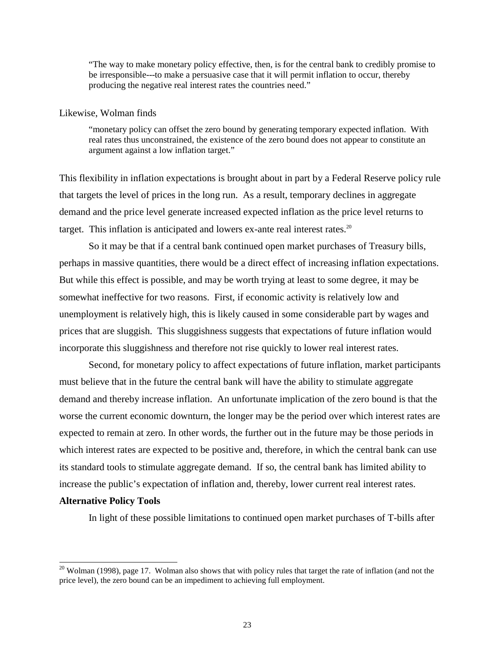"The way to make monetary policy effective, then, is for the central bank to credibly promise to be irresponsible---to make a persuasive case that it will permit inflation to occur, thereby producing the negative real interest rates the countries need."

#### Likewise, Wolman finds

"monetary policy can offset the zero bound by generating temporary expected inflation. With real rates thus unconstrained, the existence of the zero bound does not appear to constitute an argument against a low inflation target."

This flexibility in inflation expectations is brought about in part by a Federal Reserve policy rule that targets the level of prices in the long run. As a result, temporary declines in aggregate demand and the price level generate increased expected inflation as the price level returns to target. This inflation is anticipated and lowers  $ex$ -ante real interest rates.<sup>20</sup>

So it may be that if a central bank continued open market purchases of Treasury bills, perhaps in massive quantities, there would be a direct effect of increasing inflation expectations. But while this effect is possible, and may be worth trying at least to some degree, it may be somewhat ineffective for two reasons. First, if economic activity is relatively low and unemployment is relatively high, this is likely caused in some considerable part by wages and prices that are sluggish. This sluggishness suggests that expectations of future inflation would incorporate this sluggishness and therefore not rise quickly to lower real interest rates.

Second, for monetary policy to affect expectations of future inflation, market participants must believe that in the future the central bank will have the ability to stimulate aggregate demand and thereby increase inflation. An unfortunate implication of the zero bound is that the worse the current economic downturn, the longer may be the period over which interest rates are expected to remain at zero. In other words, the further out in the future may be those periods in which interest rates are expected to be positive and, therefore, in which the central bank can use its standard tools to stimulate aggregate demand. If so, the central bank has limited ability to increase the public's expectation of inflation and, thereby, lower current real interest rates.

#### **Alternative Policy Tools**

 $\overline{a}$ 

In light of these possible limitations to continued open market purchases of T-bills after

<sup>&</sup>lt;sup>20</sup> Wolman (1998), page 17. Wolman also shows that with policy rules that target the rate of inflation (and not the price level), the zero bound can be an impediment to achieving full employment.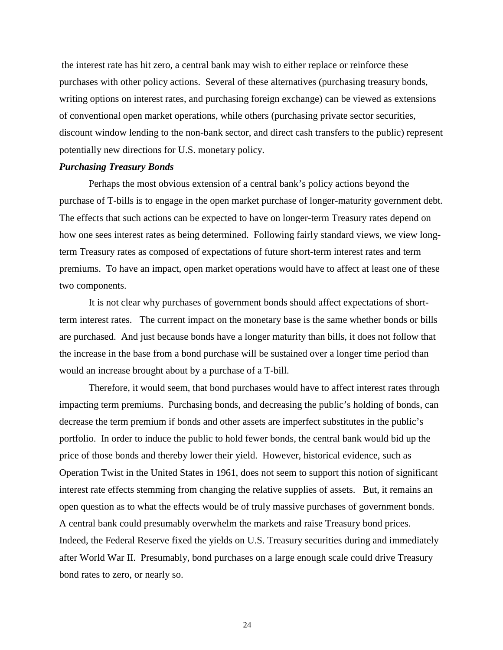the interest rate has hit zero, a central bank may wish to either replace or reinforce these purchases with other policy actions. Several of these alternatives (purchasing treasury bonds, writing options on interest rates, and purchasing foreign exchange) can be viewed as extensions of conventional open market operations, while others (purchasing private sector securities, discount window lending to the non-bank sector, and direct cash transfers to the public) represent potentially new directions for U.S. monetary policy.

#### *Purchasing Treasury Bonds*

Perhaps the most obvious extension of a central bank's policy actions beyond the purchase of T-bills is to engage in the open market purchase of longer-maturity government debt. The effects that such actions can be expected to have on longer-term Treasury rates depend on how one sees interest rates as being determined. Following fairly standard views, we view longterm Treasury rates as composed of expectations of future short-term interest rates and term premiums. To have an impact, open market operations would have to affect at least one of these two components.

It is not clear why purchases of government bonds should affect expectations of shortterm interest rates. The current impact on the monetary base is the same whether bonds or bills are purchased. And just because bonds have a longer maturity than bills, it does not follow that the increase in the base from a bond purchase will be sustained over a longer time period than would an increase brought about by a purchase of a T-bill.

Therefore, it would seem, that bond purchases would have to affect interest rates through impacting term premiums. Purchasing bonds, and decreasing the public's holding of bonds, can decrease the term premium if bonds and other assets are imperfect substitutes in the public's portfolio. In order to induce the public to hold fewer bonds, the central bank would bid up the price of those bonds and thereby lower their yield. However, historical evidence, such as Operation Twist in the United States in 1961, does not seem to support this notion of significant interest rate effects stemming from changing the relative supplies of assets. But, it remains an open question as to what the effects would be of truly massive purchases of government bonds. A central bank could presumably overwhelm the markets and raise Treasury bond prices. Indeed, the Federal Reserve fixed the yields on U.S. Treasury securities during and immediately after World War II. Presumably, bond purchases on a large enough scale could drive Treasury bond rates to zero, or nearly so.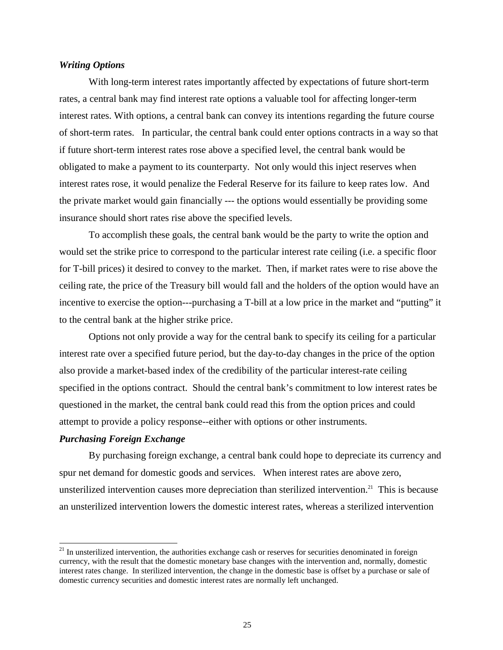## *Writing Options*

With long-term interest rates importantly affected by expectations of future short-term rates, a central bank may find interest rate options a valuable tool for affecting longer-term interest rates. With options, a central bank can convey its intentions regarding the future course of short-term rates. In particular, the central bank could enter options contracts in a way so that if future short-term interest rates rose above a specified level, the central bank would be obligated to make a payment to its counterparty. Not only would this inject reserves when interest rates rose, it would penalize the Federal Reserve for its failure to keep rates low. And the private market would gain financially --- the options would essentially be providing some insurance should short rates rise above the specified levels.

To accomplish these goals, the central bank would be the party to write the option and would set the strike price to correspond to the particular interest rate ceiling (i.e. a specific floor for T-bill prices) it desired to convey to the market. Then, if market rates were to rise above the ceiling rate, the price of the Treasury bill would fall and the holders of the option would have an incentive to exercise the option---purchasing a T-bill at a low price in the market and "putting" it to the central bank at the higher strike price.

Options not only provide a way for the central bank to specify its ceiling for a particular interest rate over a specified future period, but the day-to-day changes in the price of the option also provide a market-based index of the credibility of the particular interest-rate ceiling specified in the options contract. Should the central bank's commitment to low interest rates be questioned in the market, the central bank could read this from the option prices and could attempt to provide a policy response--either with options or other instruments.

### *Purchasing Foreign Exchange*

 $\overline{a}$ 

By purchasing foreign exchange, a central bank could hope to depreciate its currency and spur net demand for domestic goods and services. When interest rates are above zero, unsterilized intervention causes more depreciation than sterilized intervention.<sup>21</sup> This is because an unsterilized intervention lowers the domestic interest rates, whereas a sterilized intervention

<sup>&</sup>lt;sup>21</sup> In unsterilized intervention, the authorities exchange cash or reserves for securities denominated in foreign currency, with the result that the domestic monetary base changes with the intervention and, normally, domestic interest rates change. In sterilized intervention, the change in the domestic base is offset by a purchase or sale of domestic currency securities and domestic interest rates are normally left unchanged.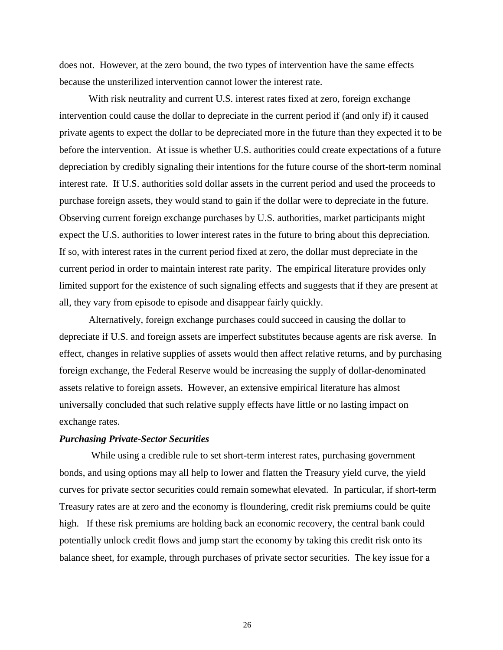does not. However, at the zero bound, the two types of intervention have the same effects because the unsterilized intervention cannot lower the interest rate.

With risk neutrality and current U.S. interest rates fixed at zero, foreign exchange intervention could cause the dollar to depreciate in the current period if (and only if) it caused private agents to expect the dollar to be depreciated more in the future than they expected it to be before the intervention. At issue is whether U.S. authorities could create expectations of a future depreciation by credibly signaling their intentions for the future course of the short-term nominal interest rate. If U.S. authorities sold dollar assets in the current period and used the proceeds to purchase foreign assets, they would stand to gain if the dollar were to depreciate in the future. Observing current foreign exchange purchases by U.S. authorities, market participants might expect the U.S. authorities to lower interest rates in the future to bring about this depreciation. If so, with interest rates in the current period fixed at zero, the dollar must depreciate in the current period in order to maintain interest rate parity. The empirical literature provides only limited support for the existence of such signaling effects and suggests that if they are present at all, they vary from episode to episode and disappear fairly quickly.

Alternatively, foreign exchange purchases could succeed in causing the dollar to depreciate if U.S. and foreign assets are imperfect substitutes because agents are risk averse. In effect, changes in relative supplies of assets would then affect relative returns, and by purchasing foreign exchange, the Federal Reserve would be increasing the supply of dollar-denominated assets relative to foreign assets. However, an extensive empirical literature has almost universally concluded that such relative supply effects have little or no lasting impact on exchange rates.

#### *Purchasing Private-Sector Securities*

 While using a credible rule to set short-term interest rates, purchasing government bonds, and using options may all help to lower and flatten the Treasury yield curve, the yield curves for private sector securities could remain somewhat elevated. In particular, if short-term Treasury rates are at zero and the economy is floundering, credit risk premiums could be quite high. If these risk premiums are holding back an economic recovery, the central bank could potentially unlock credit flows and jump start the economy by taking this credit risk onto its balance sheet, for example, through purchases of private sector securities. The key issue for a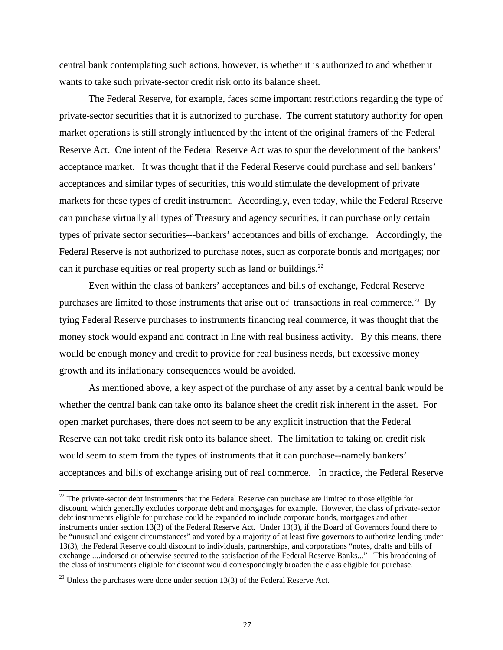central bank contemplating such actions, however, is whether it is authorized to and whether it wants to take such private-sector credit risk onto its balance sheet.

The Federal Reserve, for example, faces some important restrictions regarding the type of private-sector securities that it is authorized to purchase. The current statutory authority for open market operations is still strongly influenced by the intent of the original framers of the Federal Reserve Act. One intent of the Federal Reserve Act was to spur the development of the bankers' acceptance market. It was thought that if the Federal Reserve could purchase and sell bankers' acceptances and similar types of securities, this would stimulate the development of private markets for these types of credit instrument. Accordingly, even today, while the Federal Reserve can purchase virtually all types of Treasury and agency securities, it can purchase only certain types of private sector securities---bankers' acceptances and bills of exchange. Accordingly, the Federal Reserve is not authorized to purchase notes, such as corporate bonds and mortgages; nor can it purchase equities or real property such as land or buildings.<sup>22</sup>

Even within the class of bankers' acceptances and bills of exchange, Federal Reserve purchases are limited to those instruments that arise out of transactions in real commerce.<sup>23</sup> By tying Federal Reserve purchases to instruments financing real commerce, it was thought that the money stock would expand and contract in line with real business activity. By this means, there would be enough money and credit to provide for real business needs, but excessive money growth and its inflationary consequences would be avoided.

As mentioned above, a key aspect of the purchase of any asset by a central bank would be whether the central bank can take onto its balance sheet the credit risk inherent in the asset. For open market purchases, there does not seem to be any explicit instruction that the Federal Reserve can not take credit risk onto its balance sheet. The limitation to taking on credit risk would seem to stem from the types of instruments that it can purchase--namely bankers' acceptances and bills of exchange arising out of real commerce. In practice, the Federal Reserve

 $22$  The private-sector debt instruments that the Federal Reserve can purchase are limited to those eligible for discount, which generally excludes corporate debt and mortgages for example. However, the class of private-sector debt instruments eligible for purchase could be expanded to include corporate bonds, mortgages and other instruments under section 13(3) of the Federal Reserve Act. Under 13(3), if the Board of Governors found there to be "unusual and exigent circumstances" and voted by a majority of at least five governors to authorize lending under 13(3), the Federal Reserve could discount to individuals, partnerships, and corporations "notes, drafts and bills of exchange ....indorsed or otherwise secured to the satisfaction of the Federal Reserve Banks..." This broadening of the class of instruments eligible for discount would correspondingly broaden the class eligible for purchase.

 $^{23}$  Unless the purchases were done under section 13(3) of the Federal Reserve Act.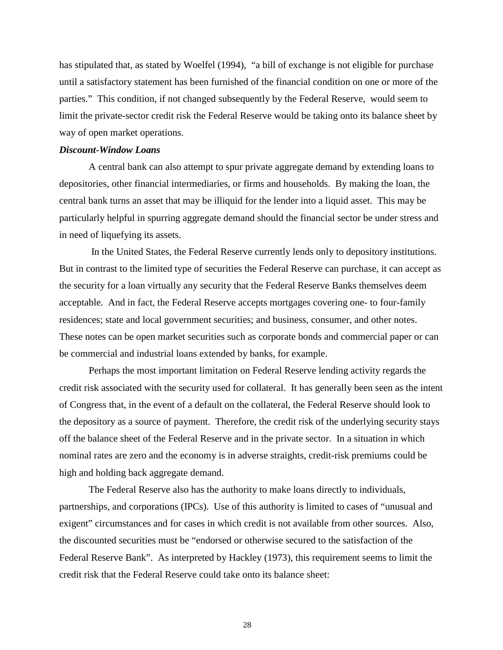has stipulated that, as stated by Woelfel (1994), "a bill of exchange is not eligible for purchase until a satisfactory statement has been furnished of the financial condition on one or more of the parties." This condition, if not changed subsequently by the Federal Reserve, would seem to limit the private-sector credit risk the Federal Reserve would be taking onto its balance sheet by way of open market operations.

### *Discount-Window Loans*

A central bank can also attempt to spur private aggregate demand by extending loans to depositories, other financial intermediaries, or firms and households. By making the loan, the central bank turns an asset that may be illiquid for the lender into a liquid asset. This may be particularly helpful in spurring aggregate demand should the financial sector be under stress and in need of liquefying its assets.

 In the United States, the Federal Reserve currently lends only to depository institutions. But in contrast to the limited type of securities the Federal Reserve can purchase, it can accept as the security for a loan virtually any security that the Federal Reserve Banks themselves deem acceptable. And in fact, the Federal Reserve accepts mortgages covering one- to four-family residences; state and local government securities; and business, consumer, and other notes. These notes can be open market securities such as corporate bonds and commercial paper or can be commercial and industrial loans extended by banks, for example.

Perhaps the most important limitation on Federal Reserve lending activity regards the credit risk associated with the security used for collateral. It has generally been seen as the intent of Congress that, in the event of a default on the collateral, the Federal Reserve should look to the depository as a source of payment. Therefore, the credit risk of the underlying security stays off the balance sheet of the Federal Reserve and in the private sector. In a situation in which nominal rates are zero and the economy is in adverse straights, credit-risk premiums could be high and holding back aggregate demand.

The Federal Reserve also has the authority to make loans directly to individuals, partnerships, and corporations (IPCs). Use of this authority is limited to cases of "unusual and exigent" circumstances and for cases in which credit is not available from other sources. Also, the discounted securities must be "endorsed or otherwise secured to the satisfaction of the Federal Reserve Bank". As interpreted by Hackley (1973), this requirement seems to limit the credit risk that the Federal Reserve could take onto its balance sheet: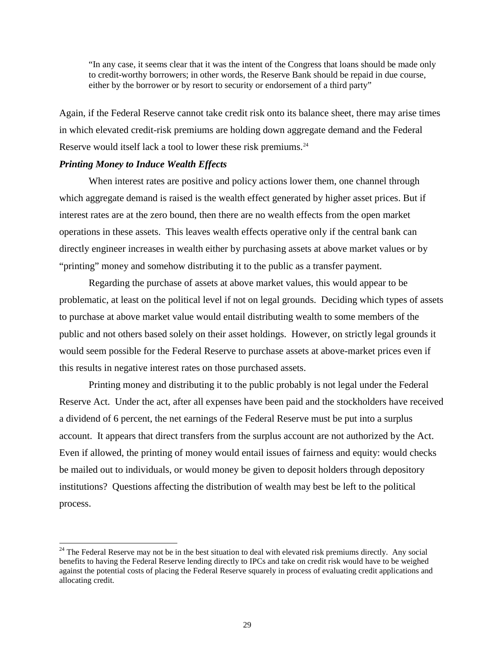"In any case, it seems clear that it was the intent of the Congress that loans should be made only to credit-worthy borrowers; in other words, the Reserve Bank should be repaid in due course, either by the borrower or by resort to security or endorsement of a third party"

Again, if the Federal Reserve cannot take credit risk onto its balance sheet, there may arise times in which elevated credit-risk premiums are holding down aggregate demand and the Federal Reserve would itself lack a tool to lower these risk premiums.<sup>24</sup>

### *Printing Money to Induce Wealth Effects*

 $\overline{a}$ 

When interest rates are positive and policy actions lower them, one channel through which aggregate demand is raised is the wealth effect generated by higher asset prices. But if interest rates are at the zero bound, then there are no wealth effects from the open market operations in these assets. This leaves wealth effects operative only if the central bank can directly engineer increases in wealth either by purchasing assets at above market values or by "printing" money and somehow distributing it to the public as a transfer payment.

Regarding the purchase of assets at above market values, this would appear to be problematic, at least on the political level if not on legal grounds. Deciding which types of assets to purchase at above market value would entail distributing wealth to some members of the public and not others based solely on their asset holdings. However, on strictly legal grounds it would seem possible for the Federal Reserve to purchase assets at above-market prices even if this results in negative interest rates on those purchased assets.

Printing money and distributing it to the public probably is not legal under the Federal Reserve Act. Under the act, after all expenses have been paid and the stockholders have received a dividend of 6 percent, the net earnings of the Federal Reserve must be put into a surplus account. It appears that direct transfers from the surplus account are not authorized by the Act. Even if allowed, the printing of money would entail issues of fairness and equity: would checks be mailed out to individuals, or would money be given to deposit holders through depository institutions? Questions affecting the distribution of wealth may best be left to the political process.

<sup>&</sup>lt;sup>24</sup> The Federal Reserve may not be in the best situation to deal with elevated risk premiums directly. Any social benefits to having the Federal Reserve lending directly to IPCs and take on credit risk would have to be weighed against the potential costs of placing the Federal Reserve squarely in process of evaluating credit applications and allocating credit.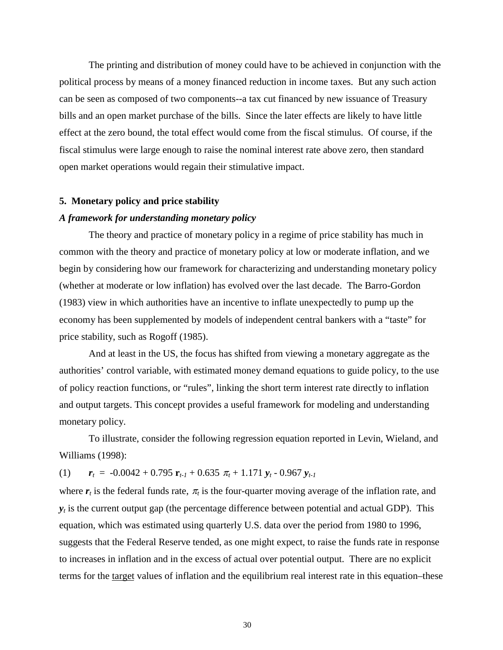The printing and distribution of money could have to be achieved in conjunction with the political process by means of a money financed reduction in income taxes. But any such action can be seen as composed of two components--a tax cut financed by new issuance of Treasury bills and an open market purchase of the bills. Since the later effects are likely to have little effect at the zero bound, the total effect would come from the fiscal stimulus. Of course, if the fiscal stimulus were large enough to raise the nominal interest rate above zero, then standard open market operations would regain their stimulative impact.

#### **5. Monetary policy and price stability**

#### *A framework for understanding monetary policy*

The theory and practice of monetary policy in a regime of price stability has much in common with the theory and practice of monetary policy at low or moderate inflation, and we begin by considering how our framework for characterizing and understanding monetary policy (whether at moderate or low inflation) has evolved over the last decade. The Barro-Gordon (1983) view in which authorities have an incentive to inflate unexpectedly to pump up the economy has been supplemented by models of independent central bankers with a "taste" for price stability, such as Rogoff (1985).

And at least in the US, the focus has shifted from viewing a monetary aggregate as the authorities' control variable, with estimated money demand equations to guide policy, to the use of policy reaction functions, or "rules", linking the short term interest rate directly to inflation and output targets. This concept provides a useful framework for modeling and understanding monetary policy.

To illustrate, consider the following regression equation reported in Levin, Wieland, and Williams (1998):

(1)  $\mathbf{r}_t = -0.0042 + 0.795 \mathbf{r}_{t-1} + 0.635 \pi_t + 1.171 \mathbf{y}_t - 0.967 \mathbf{y}_{t-1}$ 

where  $r_t$  is the federal funds rate,  $\pi_t$  is the four-quarter moving average of the inflation rate, and  $y_t$  is the current output gap (the percentage difference between potential and actual GDP). This equation, which was estimated using quarterly U.S. data over the period from 1980 to 1996, suggests that the Federal Reserve tended, as one might expect, to raise the funds rate in response to increases in inflation and in the excess of actual over potential output. There are no explicit terms for the target values of inflation and the equilibrium real interest rate in this equation–these

30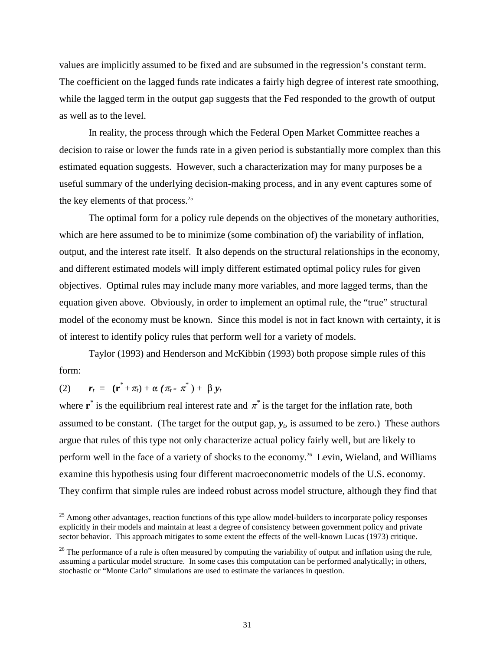values are implicitly assumed to be fixed and are subsumed in the regression's constant term. The coefficient on the lagged funds rate indicates a fairly high degree of interest rate smoothing, while the lagged term in the output gap suggests that the Fed responded to the growth of output as well as to the level.

In reality, the process through which the Federal Open Market Committee reaches a decision to raise or lower the funds rate in a given period is substantially more complex than this estimated equation suggests. However, such a characterization may for many purposes be a useful summary of the underlying decision-making process, and in any event captures some of the key elements of that process.<sup>25</sup>

The optimal form for a policy rule depends on the objectives of the monetary authorities, which are here assumed to be to minimize (some combination of) the variability of inflation, output, and the interest rate itself. It also depends on the structural relationships in the economy, and different estimated models will imply different estimated optimal policy rules for given objectives. Optimal rules may include many more variables, and more lagged terms, than the equation given above. Obviously, in order to implement an optimal rule, the "true" structural model of the economy must be known. Since this model is not in fact known with certainty, it is of interest to identify policy rules that perform well for a variety of models.

Taylor (1993) and Henderson and McKibbin (1993) both propose simple rules of this form:

(2) 
$$
\mathbf{r}_t = (\mathbf{r}^* + \pi_t) + \alpha (\pi_t - \pi^*) + \beta \mathbf{y}_t
$$

 $\overline{a}$ 

where  $\mathbf{r}^*$  is the equilibrium real interest rate and  $\pi^*$  is the target for the inflation rate, both assumed to be constant. (The target for the output gap,  $y_t$ , is assumed to be zero.) These authors argue that rules of this type not only characterize actual policy fairly well, but are likely to perform well in the face of a variety of shocks to the economy.26 Levin, Wieland, and Williams examine this hypothesis using four different macroeconometric models of the U.S. economy. They confirm that simple rules are indeed robust across model structure, although they find that

<sup>&</sup>lt;sup>25</sup> Among other advantages, reaction functions of this type allow model-builders to incorporate policy responses explicitly in their models and maintain at least a degree of consistency between government policy and private sector behavior. This approach mitigates to some extent the effects of the well-known Lucas (1973) critique.

 $^{26}$  The performance of a rule is often measured by computing the variability of output and inflation using the rule, assuming a particular model structure. In some cases this computation can be performed analytically; in others, stochastic or "Monte Carlo" simulations are used to estimate the variances in question.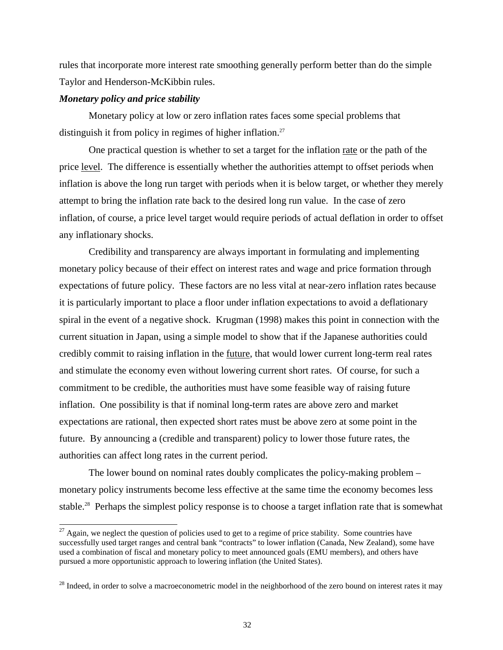rules that incorporate more interest rate smoothing generally perform better than do the simple Taylor and Henderson-McKibbin rules.

## *Monetary policy and price stability*

 $\overline{a}$ 

Monetary policy at low or zero inflation rates faces some special problems that distinguish it from policy in regimes of higher inflation.<sup>27</sup>

One practical question is whether to set a target for the inflation rate or the path of the price level. The difference is essentially whether the authorities attempt to offset periods when inflation is above the long run target with periods when it is below target, or whether they merely attempt to bring the inflation rate back to the desired long run value. In the case of zero inflation, of course, a price level target would require periods of actual deflation in order to offset any inflationary shocks.

Credibility and transparency are always important in formulating and implementing monetary policy because of their effect on interest rates and wage and price formation through expectations of future policy. These factors are no less vital at near-zero inflation rates because it is particularly important to place a floor under inflation expectations to avoid a deflationary spiral in the event of a negative shock. Krugman (1998) makes this point in connection with the current situation in Japan, using a simple model to show that if the Japanese authorities could credibly commit to raising inflation in the future, that would lower current long-term real rates and stimulate the economy even without lowering current short rates. Of course, for such a commitment to be credible, the authorities must have some feasible way of raising future inflation. One possibility is that if nominal long-term rates are above zero and market expectations are rational, then expected short rates must be above zero at some point in the future. By announcing a (credible and transparent) policy to lower those future rates, the authorities can affect long rates in the current period.

The lower bound on nominal rates doubly complicates the policy-making problem – monetary policy instruments become less effective at the same time the economy becomes less stable.<sup>28</sup> Perhaps the simplest policy response is to choose a target inflation rate that is somewhat

 $^{27}$  Again, we neglect the question of policies used to get to a regime of price stability. Some countries have successfully used target ranges and central bank "contracts" to lower inflation (Canada, New Zealand), some have used a combination of fiscal and monetary policy to meet announced goals (EMU members), and others have pursued a more opportunistic approach to lowering inflation (the United States).

<sup>&</sup>lt;sup>28</sup> Indeed, in order to solve a macroeconometric model in the neighborhood of the zero bound on interest rates it may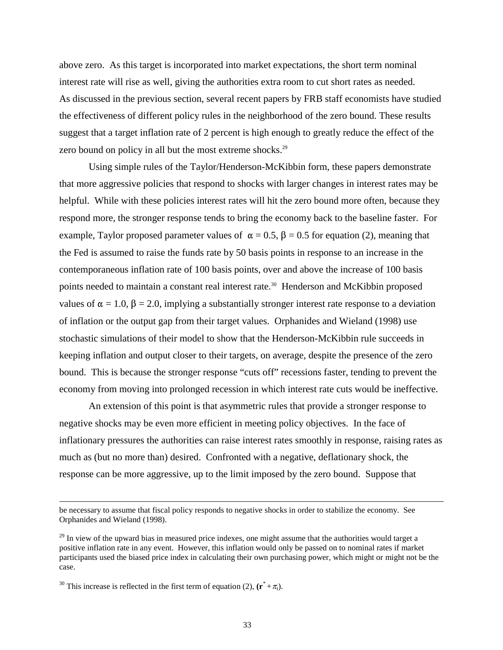above zero. As this target is incorporated into market expectations, the short term nominal interest rate will rise as well, giving the authorities extra room to cut short rates as needed. As discussed in the previous section, several recent papers by FRB staff economists have studied the effectiveness of different policy rules in the neighborhood of the zero bound. These results suggest that a target inflation rate of 2 percent is high enough to greatly reduce the effect of the zero bound on policy in all but the most extreme shocks.<sup>29</sup>

Using simple rules of the Taylor/Henderson-McKibbin form, these papers demonstrate that more aggressive policies that respond to shocks with larger changes in interest rates may be helpful. While with these policies interest rates will hit the zero bound more often, because they respond more, the stronger response tends to bring the economy back to the baseline faster. For example, Taylor proposed parameter values of  $\alpha = 0.5$ ,  $\beta = 0.5$  for equation (2), meaning that the Fed is assumed to raise the funds rate by 50 basis points in response to an increase in the contemporaneous inflation rate of 100 basis points, over and above the increase of 100 basis points needed to maintain a constant real interest rate.<sup>30</sup> Henderson and McKibbin proposed values of  $\alpha = 1.0$ ,  $\beta = 2.0$ , implying a substantially stronger interest rate response to a deviation of inflation or the output gap from their target values. Orphanides and Wieland (1998) use stochastic simulations of their model to show that the Henderson-McKibbin rule succeeds in keeping inflation and output closer to their targets, on average, despite the presence of the zero bound. This is because the stronger response "cuts off" recessions faster, tending to prevent the economy from moving into prolonged recession in which interest rate cuts would be ineffective.

An extension of this point is that asymmetric rules that provide a stronger response to negative shocks may be even more efficient in meeting policy objectives. In the face of inflationary pressures the authorities can raise interest rates smoothly in response, raising rates as much as (but no more than) desired. Confronted with a negative, deflationary shock, the response can be more aggressive, up to the limit imposed by the zero bound. Suppose that

be necessary to assume that fiscal policy responds to negative shocks in order to stabilize the economy. See Orphanides and Wieland (1998).

 $^{29}$  In view of the upward bias in measured price indexes, one might assume that the authorities would target a positive inflation rate in any event. However, this inflation would only be passed on to nominal rates if market participants used the biased price index in calculating their own purchasing power, which might or might not be the case.

<sup>&</sup>lt;sup>30</sup> This increase is reflected in the first term of equation (2),  $(\mathbf{r}^* + \pi_t)$ .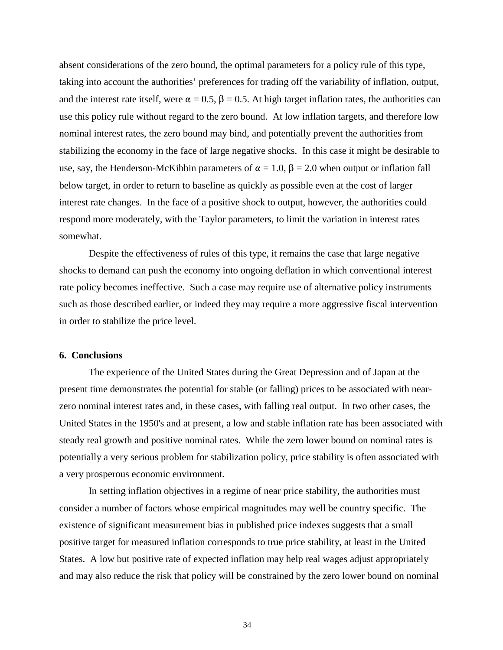absent considerations of the zero bound, the optimal parameters for a policy rule of this type, taking into account the authorities' preferences for trading off the variability of inflation, output, and the interest rate itself, were  $\alpha = 0.5$ ,  $\beta = 0.5$ . At high target inflation rates, the authorities can use this policy rule without regard to the zero bound. At low inflation targets, and therefore low nominal interest rates, the zero bound may bind, and potentially prevent the authorities from stabilizing the economy in the face of large negative shocks. In this case it might be desirable to use, say, the Henderson-McKibbin parameters of  $\alpha = 1.0$ ,  $\beta = 2.0$  when output or inflation fall below target, in order to return to baseline as quickly as possible even at the cost of larger interest rate changes. In the face of a positive shock to output, however, the authorities could respond more moderately, with the Taylor parameters, to limit the variation in interest rates somewhat.

Despite the effectiveness of rules of this type, it remains the case that large negative shocks to demand can push the economy into ongoing deflation in which conventional interest rate policy becomes ineffective. Such a case may require use of alternative policy instruments such as those described earlier, or indeed they may require a more aggressive fiscal intervention in order to stabilize the price level.

### **6. Conclusions**

The experience of the United States during the Great Depression and of Japan at the present time demonstrates the potential for stable (or falling) prices to be associated with nearzero nominal interest rates and, in these cases, with falling real output. In two other cases, the United States in the 1950's and at present, a low and stable inflation rate has been associated with steady real growth and positive nominal rates. While the zero lower bound on nominal rates is potentially a very serious problem for stabilization policy, price stability is often associated with a very prosperous economic environment.

In setting inflation objectives in a regime of near price stability, the authorities must consider a number of factors whose empirical magnitudes may well be country specific. The existence of significant measurement bias in published price indexes suggests that a small positive target for measured inflation corresponds to true price stability, at least in the United States. A low but positive rate of expected inflation may help real wages adjust appropriately and may also reduce the risk that policy will be constrained by the zero lower bound on nominal

34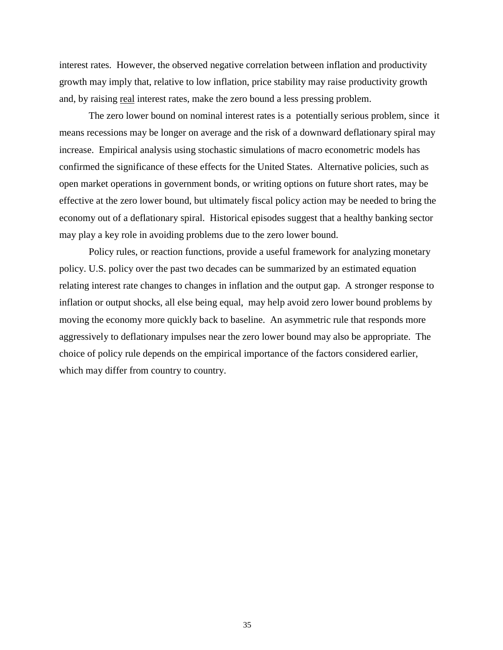interest rates. However, the observed negative correlation between inflation and productivity growth may imply that, relative to low inflation, price stability may raise productivity growth and, by raising real interest rates, make the zero bound a less pressing problem.

The zero lower bound on nominal interest rates is a potentially serious problem, since it means recessions may be longer on average and the risk of a downward deflationary spiral may increase. Empirical analysis using stochastic simulations of macro econometric models has confirmed the significance of these effects for the United States. Alternative policies, such as open market operations in government bonds, or writing options on future short rates, may be effective at the zero lower bound, but ultimately fiscal policy action may be needed to bring the economy out of a deflationary spiral. Historical episodes suggest that a healthy banking sector may play a key role in avoiding problems due to the zero lower bound.

Policy rules, or reaction functions, provide a useful framework for analyzing monetary policy. U.S. policy over the past two decades can be summarized by an estimated equation relating interest rate changes to changes in inflation and the output gap. A stronger response to inflation or output shocks, all else being equal, may help avoid zero lower bound problems by moving the economy more quickly back to baseline. An asymmetric rule that responds more aggressively to deflationary impulses near the zero lower bound may also be appropriate. The choice of policy rule depends on the empirical importance of the factors considered earlier, which may differ from country to country.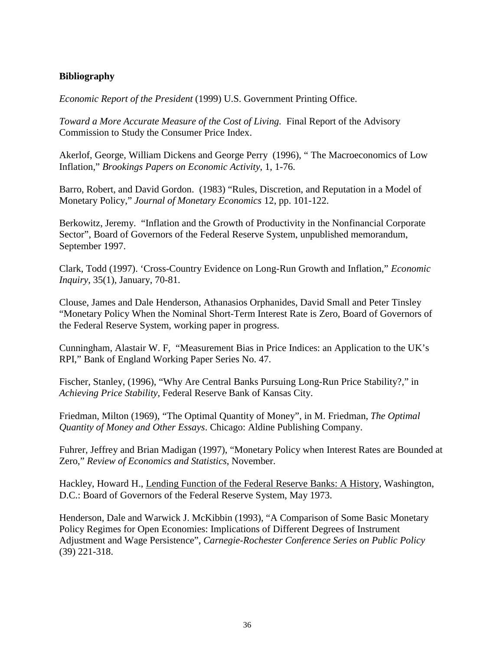## **Bibliography**

*Economic Report of the President* (1999) U.S. Government Printing Office.

*Toward a More Accurate Measure of the Cost of Living.* Final Report of the Advisory Commission to Study the Consumer Price Index.

Akerlof, George, William Dickens and George Perry (1996), " The Macroeconomics of Low Inflation," *Brookings Papers on Economic Activity*, 1, 1-76.

Barro, Robert, and David Gordon. (1983) "Rules, Discretion, and Reputation in a Model of Monetary Policy," *Journal of Monetary Economics* 12, pp. 101-122.

Berkowitz, Jeremy. "Inflation and the Growth of Productivity in the Nonfinancial Corporate Sector", Board of Governors of the Federal Reserve System, unpublished memorandum, September 1997.

Clark, Todd (1997). 'Cross-Country Evidence on Long-Run Growth and Inflation," *Economic Inquiry*, 35(1), January, 70-81.

Clouse, James and Dale Henderson, Athanasios Orphanides, David Small and Peter Tinsley "Monetary Policy When the Nominal Short-Term Interest Rate is Zero, Board of Governors of the Federal Reserve System, working paper in progress.

Cunningham, Alastair W. F, "Measurement Bias in Price Indices: an Application to the UK's RPI," Bank of England Working Paper Series No. 47.

Fischer, Stanley, (1996), "Why Are Central Banks Pursuing Long-Run Price Stability?," in *Achieving Price Stability*, Federal Reserve Bank of Kansas City.

Friedman, Milton (1969), "The Optimal Quantity of Money", in M. Friedman, *The Optimal Quantity of Money and Other Essays*. Chicago: Aldine Publishing Company.

Fuhrer, Jeffrey and Brian Madigan (1997), "Monetary Policy when Interest Rates are Bounded at Zero," *Review of Economics and Statistics*, November.

Hackley, Howard H., Lending Function of the Federal Reserve Banks: A History, Washington, D.C.: Board of Governors of the Federal Reserve System, May 1973.

Henderson, Dale and Warwick J. McKibbin (1993), "A Comparison of Some Basic Monetary Policy Regimes for Open Economies: Implications of Different Degrees of Instrument Adjustment and Wage Persistence", *Carnegie-Rochester Conference Series on Public Policy* (39) 221-318.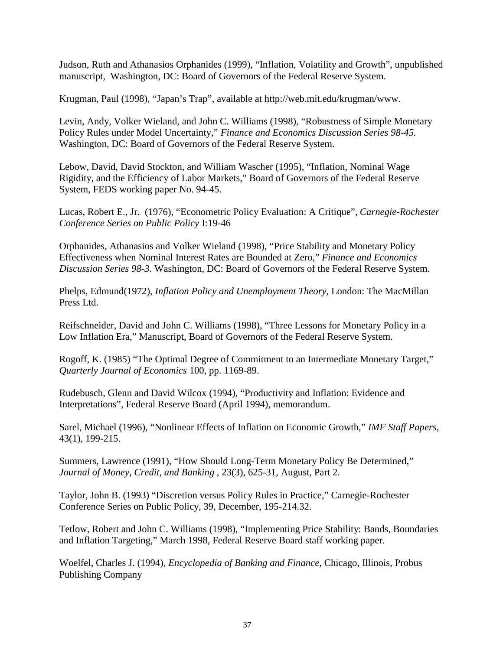Judson, Ruth and Athanasios Orphanides (1999), "Inflation, Volatility and Growth", unpublished manuscript, Washington, DC: Board of Governors of the Federal Reserve System.

Krugman, Paul (1998), "Japan's Trap", available at http://web.mit.edu/krugman/www.

Levin, Andy, Volker Wieland, and John C. Williams (1998), "Robustness of Simple Monetary Policy Rules under Model Uncertainty," *Finance and Economics Discussion Series 98-45.* Washington, DC: Board of Governors of the Federal Reserve System.

Lebow, David, David Stockton, and William Wascher (1995), "Inflation, Nominal Wage Rigidity, and the Efficiency of Labor Markets," Board of Governors of the Federal Reserve System, FEDS working paper No. 94-45.

Lucas, Robert E., Jr. (1976), "Econometric Policy Evaluation: A Critique", *Carnegie-Rochester Conference Series on Public Policy* I:19-46

Orphanides, Athanasios and Volker Wieland (1998), "Price Stability and Monetary Policy Effectiveness when Nominal Interest Rates are Bounded at Zero," *Finance and Economics Discussion Series 98-3.* Washington, DC: Board of Governors of the Federal Reserve System.

Phelps, Edmund(1972), *Inflation Policy and Unemployment Theory*, London: The MacMillan Press Ltd.

Reifschneider, David and John C. Williams (1998), "Three Lessons for Monetary Policy in a Low Inflation Era," Manuscript, Board of Governors of the Federal Reserve System.

Rogoff, K. (1985) "The Optimal Degree of Commitment to an Intermediate Monetary Target," *Quarterly Journal of Economics* 100, pp. 1169-89.

Rudebusch, Glenn and David Wilcox (1994), "Productivity and Inflation: Evidence and Interpretations", Federal Reserve Board (April 1994), memorandum.

Sarel, Michael (1996), "Nonlinear Effects of Inflation on Economic Growth," *IMF Staff Papers*, 43(1), 199-215.

Summers, Lawrence (1991), "How Should Long-Term Monetary Policy Be Determined," *Journal of Money, Credit, and Banking* , 23(3), 625-31, August, Part 2.

Taylor, John B. (1993) "Discretion versus Policy Rules in Practice," Carnegie-Rochester Conference Series on Public Policy, 39, December, 195-214.32.

Tetlow, Robert and John C. Williams (1998), "Implementing Price Stability: Bands, Boundaries and Inflation Targeting," March 1998, Federal Reserve Board staff working paper.

Woelfel, Charles J. (1994), *Encyclopedia of Banking and Finance,* Chicago, Illinois, Probus Publishing Company